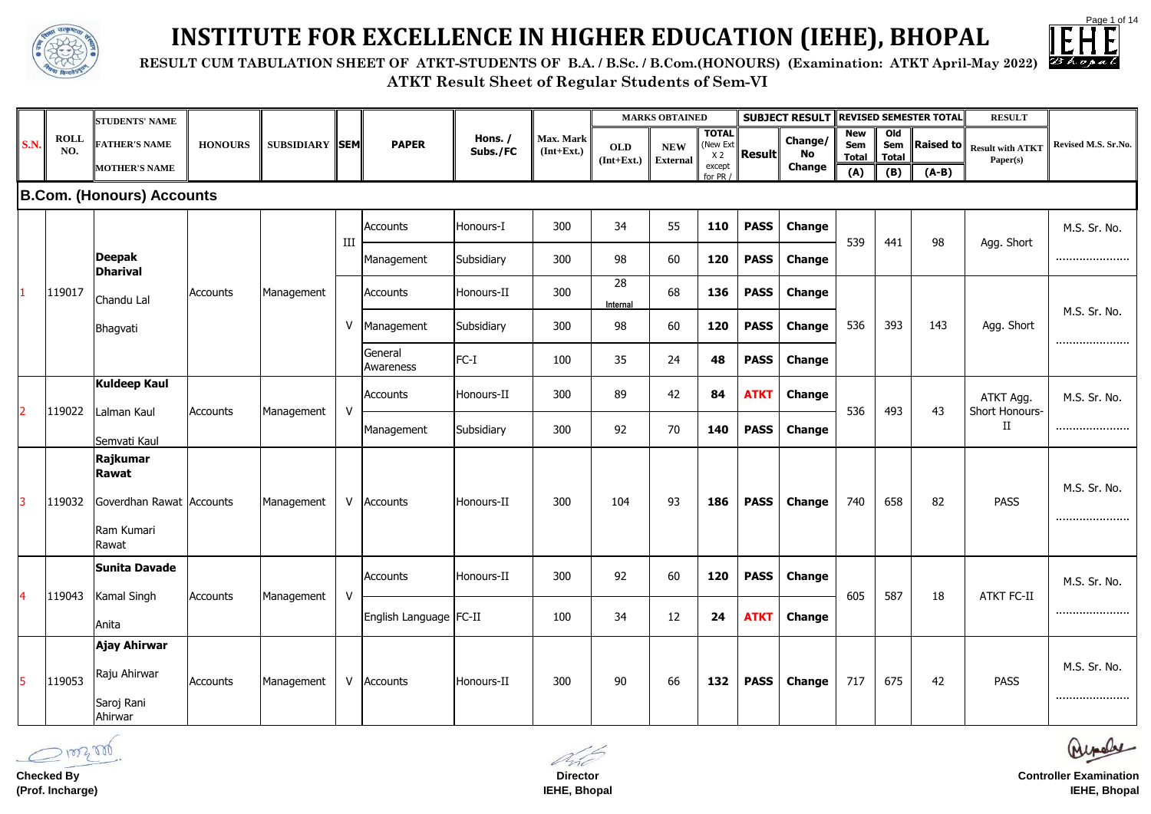



|             |             | <b>STUDENTS' NAME</b>            |                |                       |              |                          |            |              |                | <b>MARKS OBTAINED</b> |                          |               | <b>SUBJECT RESULT REVISED SEMESTER TOTAL</b> |                     |                       |           | <b>RESULT</b>                     |                     |
|-------------|-------------|----------------------------------|----------------|-----------------------|--------------|--------------------------|------------|--------------|----------------|-----------------------|--------------------------|---------------|----------------------------------------------|---------------------|-----------------------|-----------|-----------------------------------|---------------------|
| <b>S.N.</b> | <b>ROLL</b> | <b>FATHER'S NAME</b>             | <b>HONOURS</b> | <b>SUBSIDIARY SEM</b> |              | <b>PAPER</b>             | Hons. /    | Max. Mark    | <b>OLD</b>     | <b>NEW</b>            | <b>TOTAL</b><br>(New Ext |               | Change/                                      | <b>New</b><br>Sem   | O <sub>1</sub><br>Sem | Raised to | <b>Result with ATKT</b>           | Revised M.S. Sr.No. |
|             | NO.         | <b>MOTHER'S NAME</b>             |                |                       |              |                          | Subs./FC   | $(Int+Ext.)$ | $(Int+Ext.)$   | <b>External</b>       | X <sub>2</sub><br>except | <b>Result</b> | No<br><b>Change</b>                          | <b>Total</b><br>(A) | <b>Total</b><br>(B)   | $(A-B)$   | Paper(s)                          |                     |
|             |             | <b>B.Com. (Honours) Accounts</b> |                |                       |              |                          |            |              |                |                       | for PR /                 |               |                                              |                     |                       |           |                                   |                     |
|             |             |                                  |                |                       |              |                          |            |              |                |                       |                          |               |                                              |                     |                       |           |                                   |                     |
|             |             |                                  |                |                       | III          | <b>Accounts</b>          | Honours-I  | 300          | 34             | 55                    | <b>110</b>               | <b>PASS</b>   | <b>Change</b>                                | 539                 | 441                   | 98        | Agg. Short                        | M.S. Sr. No.        |
|             |             | <b>Deepak</b><br><b>Dharival</b> |                |                       |              | Management               | Subsidiary | 300          | 98             | 60                    | 120                      | <b>PASS</b>   | <b>Change</b>                                |                     |                       |           |                                   |                     |
|             | 119017      | Chandu Lal                       | Accounts       | Management            |              | Accounts                 | Honours-II | 300          | 28<br>Internal | 68                    | 136                      | <b>PASS</b>   | <b>Change</b>                                |                     |                       |           |                                   |                     |
|             |             | Bhagvati                         |                |                       | $\vee$       | Management               | Subsidiary | 300          | 98             | 60                    | 120                      | <b>PASS</b>   | <b>Change</b>                                | 536                 | 393                   | 143       | Agg. Short                        | M.S. Sr. No.        |
|             |             |                                  |                |                       |              | General<br>Awareness     | $FC-I$     | 100          | 35             | 24                    | 48                       | <b>PASS</b>   | <b>Change</b>                                |                     |                       |           |                                   |                     |
|             |             | <b>Kuldeep Kaul</b>              |                |                       |              | Accounts                 | Honours-II | 300          | 89             | 42                    | 84                       | <b>ATKT</b>   | <b>Change</b>                                |                     |                       |           | ATKT Agg.                         | M.S. Sr. No.        |
|             | 119022      | Lalman Kaul<br>Semvati Kaul      | Accounts       | Management            | $\mathsf{V}$ | Management               | Subsidiary | 300          | 92             | 70                    | 140                      | <b>PASS</b>   | <b>Change</b>                                | 536                 | 493                   | 43        | <b>Short Honours-</b><br>$\rm II$ |                     |
|             |             | Rajkumar                         |                |                       |              |                          |            |              |                |                       |                          |               |                                              |                     |                       |           |                                   |                     |
|             |             | Rawat                            |                |                       |              |                          |            |              |                |                       |                          |               |                                              |                     |                       |           |                                   | M.S. Sr. No.        |
| 13          | 119032      | Goverdhan Rawat Accounts         |                | Management            |              | V Accounts               | Honours-II | 300          | 104            | 93                    | 186                      | <b>PASS</b>   | <b>Change</b>                                | 740                 | 658                   | 82        | <b>PASS</b>                       |                     |
|             |             | Ram Kumari<br>Rawat              |                |                       |              |                          |            |              |                |                       |                          |               |                                              |                     |                       |           |                                   |                     |
|             |             | <b>Sunita Davade</b>             |                |                       |              | Accounts                 | Honours-II | 300          | 92             | 60                    | 120                      | <b>PASS</b>   | <b>Change</b>                                |                     |                       |           |                                   | M.S. Sr. No.        |
| <b>4</b>    | 119043      | Kamal Singh                      | Accounts       | Management            | $\mathsf{V}$ |                          |            |              |                |                       |                          |               |                                              | 605                 | 587                   | 18        | <b>ATKT FC-II</b>                 |                     |
|             |             | Anita                            |                |                       |              | English Language   FC-II |            | 100          | 34             | 12                    | 24                       | <b>ATKT</b>   | <b>Change</b>                                |                     |                       |           |                                   |                     |
|             |             | Ajay Ahirwar                     |                |                       |              |                          |            |              |                |                       |                          |               |                                              |                     |                       |           |                                   |                     |
| 5           | 119053      | Raju Ahirwar                     | Accounts       | Management            |              | V Accounts               | Honours-II | 300          | 90             | 66                    | 132                      | <b>PASS</b>   | <b>Change</b>                                | 717                 | 675                   | 42        | <b>PASS</b>                       | M.S. Sr. No.        |
|             |             | Saroj Rani<br>Ahirwar            |                |                       |              |                          |            |              |                |                       |                          |               |                                              |                     |                       |           |                                   |                     |

 **RESULT CUM TABULATION SHEET OF ATKT-STUDENTS OF B.A. / B.Sc. / B.Com.(HONOURS) (Examination: ATKT April-May 2022)**



# **INSTITUTE FOR EXCELLENCE IN HIGHER EDUCATION (IEHE), BHOPAL**

**Checked By (Prof. Incharge)**

**Director IEHE, Bhopal**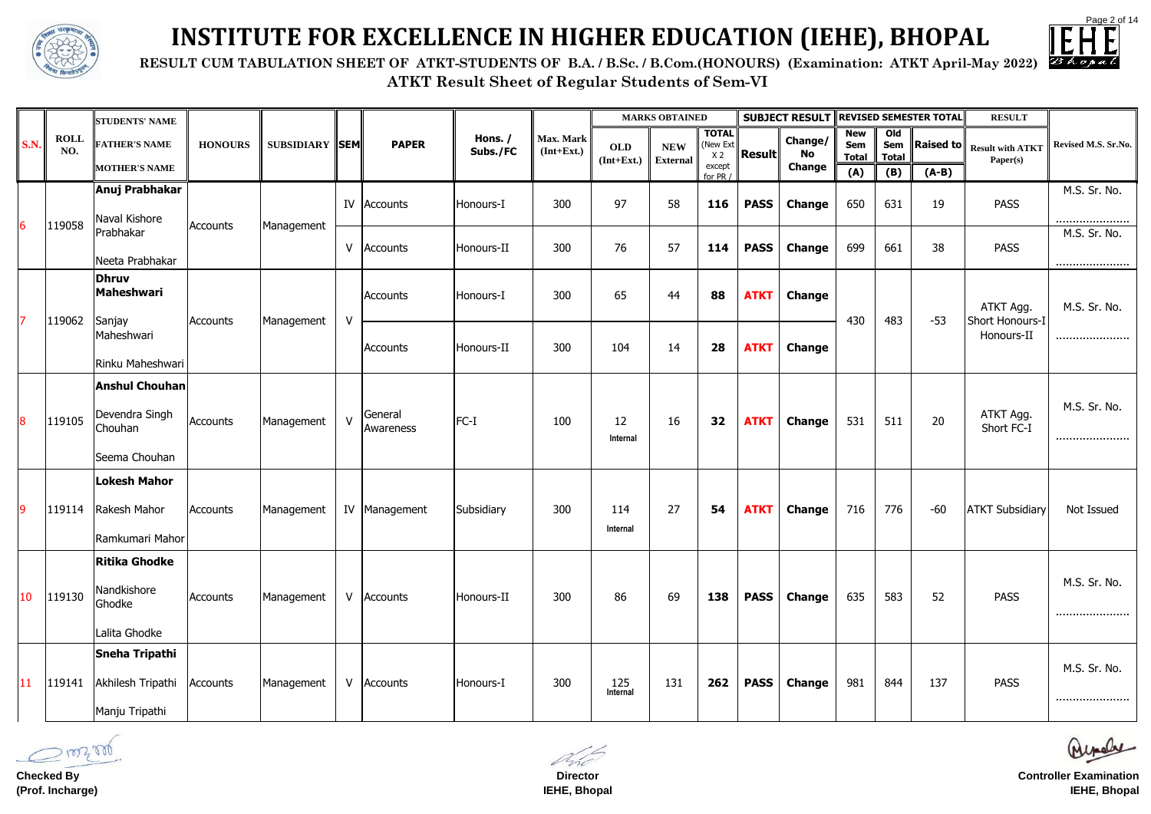



**ATKT Result Sheet of Regular Students of Sem-VI RESULT CUM TABULATION SHEET OF ATKT-STUDENTS OF B.A. / B.Sc. / B.Com.(HONOURS) (Examination: ATKT April-May 2022)**



# **INSTITUTE FOR EXCELLENCE IN HIGHER EDUCATION (IEHE), BHOPAL**

|                         |                    | <b>STUDENTS' NAME</b>                                               |                |                       |              |                      |                     |                           |                            | <b>MARKS OBTAINED</b>         |                                            |               | <b>SUBJECT RESULT REVISED SEMESTER TOTAL</b> |                                   |                                       |         | <b>RESULT</b>                                      |                     |
|-------------------------|--------------------|---------------------------------------------------------------------|----------------|-----------------------|--------------|----------------------|---------------------|---------------------------|----------------------------|-------------------------------|--------------------------------------------|---------------|----------------------------------------------|-----------------------------------|---------------------------------------|---------|----------------------------------------------------|---------------------|
| <b>S.N.</b>             | <b>ROLL</b><br>NO. | <b>FATHER'S NAME</b>                                                | <b>HONOURS</b> | <b>SUBSIDIARY SEM</b> |              | <b>PAPER</b>         | Hons. /<br>Subs./FC | Max. Mark<br>$(Int+Ext.)$ | <b>OLD</b><br>$(Int+Ext.)$ | <b>NEW</b><br><b>External</b> | <b>TOTAL</b><br>(New Ext<br>X <sub>2</sub> | <b>Result</b> | Change/<br>No                                | <b>New</b><br>Sem<br><b>Total</b> | O <sub>0</sub><br>Sem<br><b>Total</b> |         | <b>Raised to</b> $\ $ Result with ATKT<br>Paper(s) | Revised M.S. Sr.No. |
|                         |                    | <b>MOTHER'S NAME</b>                                                |                |                       |              |                      |                     |                           |                            |                               | except<br>for PR /                         |               | <b>Change</b>                                | (A)                               | (B)                                   | $(A-B)$ |                                                    |                     |
|                         |                    | Anuj Prabhakar<br>Naval Kishore                                     |                |                       | IV           | Accounts             | Honours-I           | 300                       | 97                         | 58                            | 116                                        | <b>PASS</b>   | <b>Change</b>                                | 650                               | 631                                   | 19      | <b>PASS</b>                                        | M.S. Sr. No.<br>    |
| 6                       | 119058             | Prabhakar<br>Neeta Prabhakar                                        | Accounts       | Management            | $\vee$       | Accounts             | Honours-II          | 300                       | 76                         | 57                            | 114                                        | <b>PASS</b>   | <b>Change</b>                                | 699                               | 661                                   | 38      | <b>PASS</b>                                        | M.S. Sr. No.<br>    |
| $\overline{7}$          |                    | <b>Dhruv</b><br>Maheshwari                                          |                |                       | $\mathsf{V}$ | Accounts             | Honours-I           | 300                       | 65                         | 44                            | 88                                         | <b>ATKT</b>   | <b>Change</b>                                | 430                               | 483                                   | $-53$   | ATKT Agg.                                          | M.S. Sr. No.        |
|                         | 119062             | Sanjay<br>Maheshwari<br>Rinku Maheshwari                            | Accounts       | Management            |              | <b>Accounts</b>      | Honours-II          | 300                       | 104                        | 14                            | 28                                         | <b>ATKT</b>   | <b>Change</b>                                |                                   |                                       |         | Short Honours-I<br>Honours-II                      |                     |
| $\overline{\mathbf{8}}$ | 119105             | <b>Anshul Chouhan</b><br>Devendra Singh<br>Chouhan<br>Seema Chouhan | Accounts       | Management            | $\mathsf{V}$ | General<br>Awareness | $FC-I$              | 100                       | 12<br>Internal             | 16                            | 32                                         | <b>ATKT</b>   | <b>Change</b>                                | 531                               | 511                                   | 20      | ATKT Agg.<br>Short FC-I                            | M.S. Sr. No.<br>    |
| <u>9</u>                | 119114             | Lokesh Mahor<br>Rakesh Mahor<br>Ramkumari Mahor                     | Accounts       | Management            |              | IV Management        | Subsidiary          | 300                       | 114<br>Internal            | 27                            | 54                                         | <b>ATKT</b>   | <b>Change</b>                                | 716                               | 776                                   | $-60$   | <b>ATKT Subsidiary</b>                             | Not Issued          |
| 10                      | 119130             | <b>Ritika Ghodke</b><br>Nandkishore<br>Ghodke<br>Lalita Ghodke      | Accounts       | Management            |              | V Accounts           | Honours-II          | 300                       | 86                         | 69                            | 138                                        | <b>PASS</b>   | <b>Change</b>                                | 635                               | 583                                   | 52      | <b>PASS</b>                                        | M.S. Sr. No.<br>    |
| 11                      | 119141             | Sneha Tripathi<br>Akhilesh Tripathi<br>Manju Tripathi               | Accounts       | Management            |              | V Accounts           | Honours-I           | 300                       | 125<br>Internal            | 131                           | 262                                        | <b>PASS</b>   | <b>Change</b>                                | 981                               | 844                                   | 137     | <b>PASS</b>                                        | M.S. Sr. No.<br>    |

**Checked By (Prof. Incharge)**

**Director IEHE, Bhopal**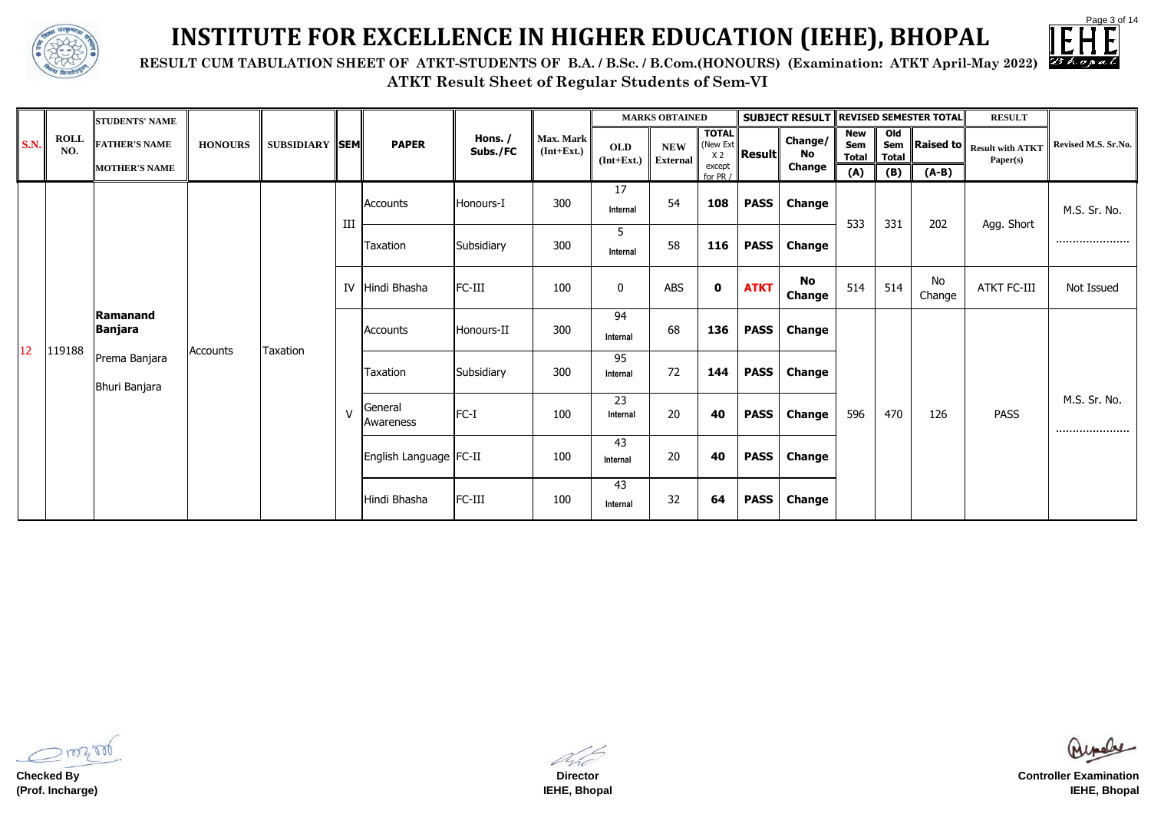

 **RESULT CUM TABULATION SHEET OF ATKT-STUDENTS OF B.A. / B.Sc. / B.Com.(HONOURS) (Examination: ATKT April-May 2022)**



### **INSTITUTE FOR EXCELLENCE IN HIGHER EDUCATION (IEHE), BHOPAL**

|                 |                    | <b>STUDENTS' NAME</b>          |                |                       |              |                          |                     |                           |                            | <b>MARKS OBTAINED</b>         |                                            |                  | <b>SUBJECT RESULT REVISED SEMESTER TOTAL</b> |                                   |                                       |                  | <b>RESULT</b>                       |                     |
|-----------------|--------------------|--------------------------------|----------------|-----------------------|--------------|--------------------------|---------------------|---------------------------|----------------------------|-------------------------------|--------------------------------------------|------------------|----------------------------------------------|-----------------------------------|---------------------------------------|------------------|-------------------------------------|---------------------|
| <b>S.N.</b>     | <b>ROLL</b><br>NO. | <b>FATHER'S NAME</b>           | <b>HONOURS</b> | <b>SUBSIDIARY SEM</b> |              | <b>PAPER</b>             | Hons. /<br>Subs./FC | Max. Mark<br>$(Int+Ext.)$ | <b>OLD</b><br>$(Int+Ext.)$ | <b>NEW</b><br><b>External</b> | <b>TOTAL</b><br>(New Ext<br>X <sub>2</sub> | $\ $ Result $\ $ | Change/<br>No                                | <b>New</b><br>Sem<br><b>Total</b> | O <sub>1</sub><br>Sem<br><b>Total</b> | <b>Raised to</b> | <b>Result with ATKT</b><br>Paper(s) | Revised M.S. Sr.No. |
|                 |                    | <b>MOTHER'S NAME</b>           |                |                       |              |                          |                     |                           |                            |                               | except<br>for PR /                         |                  | <b>Change</b>                                | (A)                               | (B)                                   | $(A-B)$          |                                     |                     |
|                 |                    |                                |                |                       | III          | Accounts                 | Honours-I           | 300                       | 17<br>Internal             | 54                            | 108                                        | <b>PASS</b>      | <b>Change</b>                                | 533                               | 331                                   | 202              | Agg. Short                          | M.S. Sr. No.        |
|                 |                    |                                |                |                       |              | <b>Taxation</b>          | Subsidiary          | 300                       | 5<br>Internal              | 58                            | 116                                        | <b>PASS</b>      | <b>Change</b>                                |                                   |                                       |                  |                                     |                     |
|                 |                    |                                |                |                       |              | IV Hindi Bhasha          | FC-III              | 100                       | $\mathbf 0$                | <b>ABS</b>                    | $\mathbf 0$                                | <b>ATKT</b>      | <b>No</b><br><b>Change</b>                   | 514                               | 514                                   | No<br>Change     | <b>ATKT FC-III</b>                  | Not Issued          |
| 12 <sup>°</sup> |                    | Ramanand<br>Banjara            |                |                       |              | Accounts                 | Honours-II          | 300                       | 94<br>Internal             | 68                            | 136                                        | <b>PASS</b>      | <b>Change</b>                                |                                   |                                       |                  |                                     |                     |
|                 | 119188             | Prema Banjara<br>Bhuri Banjara | Accounts       | Taxation              |              | <b>Taxation</b>          | Subsidiary          | 300                       | 95<br>Internal             | 72                            | 144                                        | <b>PASS</b>      | <b>Change</b>                                |                                   |                                       |                  |                                     |                     |
|                 |                    |                                |                |                       | $\mathsf{V}$ | General<br>Awareness     | $FC-I$              | 100                       | 23<br>Internal             | 20                            | 40                                         | <b>PASS</b>      | <b>Change</b>                                | 596                               | 470                                   | 126              | <b>PASS</b>                         | M.S. Sr. No.<br>    |
|                 |                    |                                |                |                       |              | English Language   FC-II |                     | 100                       | 43<br>Internal             | 20                            | 40                                         | <b>PASS</b>      | <b>Change</b>                                |                                   |                                       |                  |                                     |                     |
|                 |                    |                                |                |                       |              | Hindi Bhasha             | FC-III              | 100                       | 43<br>Internal             | 32                            | 64                                         | <b>PASS</b>      | <b>Change</b>                                |                                   |                                       |                  |                                     |                     |

100200

**Checked By (Prof. Incharge)**

**Director IEHE, Bhopal**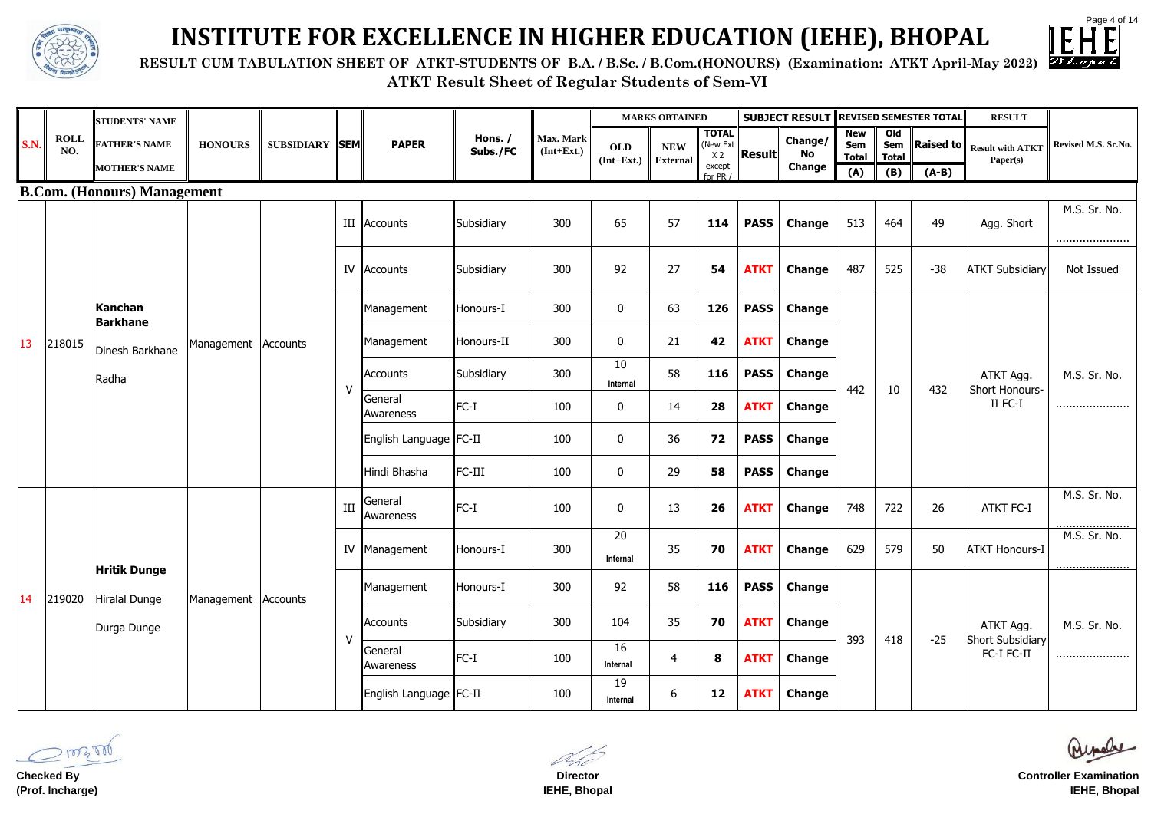

 **RESULT CUM TABULATION SHEET OF ATKT-STUDENTS OF B.A. / B.Sc. / B.Com.(HONOURS) (Examination: ATKT April-May 2022)**



# **INSTITUTE FOR EXCELLENCE IN HIGHER EDUCATION (IEHE), BHOPAL**

|             |                    | <b>STUDENTS' NAME</b>                |                       |                       |        |                          |                     |                           |                            | <b>MARKS OBTAINED</b>         |                                            |               | <b>SUBJECT RESULT</b> |                                          |                                               | <b>REVISED SEMESTER TOTAL</b>  | <b>RESULT</b>                        |                         |
|-------------|--------------------|--------------------------------------|-----------------------|-----------------------|--------|--------------------------|---------------------|---------------------------|----------------------------|-------------------------------|--------------------------------------------|---------------|-----------------------|------------------------------------------|-----------------------------------------------|--------------------------------|--------------------------------------|-------------------------|
| <b>S.N.</b> | <b>ROLL</b><br>NO. | <b>FATHER'S NAME</b>                 | <b>HONOURS</b>        | <b>SUBSIDIARY SEM</b> |        | <b>PAPER</b>             | Hons. /<br>Subs./FC | Max. Mark<br>$(Int+Ext.)$ | <b>OLD</b><br>$(Int+Ext.)$ | <b>NEW</b><br><b>External</b> | <b>TOTAL</b><br>(New Ext<br>X <sub>2</sub> | <b>Result</b> | Change/<br>No         | <b>New</b><br><b>Sem</b><br><b>Total</b> | O <sub>Id</sub><br><b>Sem</b><br><b>Total</b> | $\vert$ Raised to $\vert\vert$ | <b>Result with ATKT</b><br>Paper(s)  | Revised M.S. Sr.No.     |
|             |                    | <b>MOTHER'S NAME</b>                 |                       |                       |        |                          |                     |                           |                            |                               | except<br>for PR /                         |               | <b>Change</b>         | (A)                                      | (B)                                           | $(A-B)$                        |                                      |                         |
|             |                    | <b>B.Com.</b> (Honours) Management   |                       |                       |        |                          |                     |                           |                            |                               |                                            |               |                       |                                          |                                               |                                |                                      |                         |
|             |                    |                                      |                       |                       |        | III Accounts             | Subsidiary          | 300                       | 65                         | 57                            | 114                                        | <b>PASS</b>   | <b>Change</b>         | 513                                      | 464                                           | 49                             | Agg. Short                           | M.S. Sr. No.<br>        |
|             |                    |                                      |                       |                       |        | <b>IV</b> Accounts       | Subsidiary          | 300                       | 92                         | 27                            | 54                                         | <b>ATKT</b>   | <b>Change</b>         | 487                                      | 525                                           | $-38$                          | <b>ATKT Subsidiary</b>               | Not Issued              |
|             |                    | Kanchan<br>Barkhane                  |                       |                       |        | Management               | Honours-I           | 300                       | 0                          | 63                            | 126                                        | <b>PASS</b>   | <b>Change</b>         |                                          |                                               |                                |                                      |                         |
| 13          | 218015             | Dinesh Barkhane                      | Management   Accounts |                       |        | Management               | Honours-II          | 300                       | $\mathbf 0$                | 21                            | 42                                         | <b>ATKT</b>   | <b>Change</b>         |                                          |                                               |                                |                                      |                         |
|             |                    | Radha                                |                       |                       | $\vee$ | Accounts                 | Subsidiary          | 300                       | 10<br>Internal             | 58                            | <b>116</b>                                 | <b>PASS</b>   | <b>Change</b>         | 442                                      | 10                                            | 432                            | ATKT Agg.<br>Short Honours-          | M.S. Sr. No.            |
|             |                    |                                      |                       |                       |        | General<br>Awareness     | $FC-I$              | 100                       | $\mathbf 0$                | 14                            | 28                                         | <b>ATKT</b>   | <b>Change</b>         |                                          |                                               |                                | II FC-I                              |                         |
|             |                    |                                      |                       |                       |        | English Language   FC-II |                     | 100                       | $\mathbf 0$                | 36                            | 72                                         | <b>PASS</b>   | <b>Change</b>         |                                          |                                               |                                |                                      |                         |
|             |                    |                                      |                       |                       |        | Hindi Bhasha             | FC-III              | 100                       | $\mathbf 0$                | 29                            | 58                                         | <b>PASS</b>   | <b>Change</b>         |                                          |                                               |                                |                                      |                         |
|             |                    |                                      |                       |                       | III    | General<br>Awareness     | $FC-I$              | 100                       | $\bf{0}$                   | 13                            | 26                                         | <b>ATKT</b>   | <b>Change</b>         | 748                                      | 722                                           | 26                             | <b>ATKT FC-I</b>                     | M.S. Sr. No.<br><u></u> |
|             |                    |                                      |                       |                       |        | IV Management            | Honours-I           | 300                       | 20<br>Internal             | 35                            | 70                                         | <b>ATKT</b>   | <b>Change</b>         | 629                                      | 579                                           | 50                             | <b>ATKT Honours-I</b>                | M.S. Sr. No.            |
| 14          | 219020             | <b>Hritik Dunge</b><br>Hiralal Dunge | Management Accounts   |                       |        | Management               | Honours-I           | 300                       | 92                         | 58                            | 116                                        | <b>PASS</b>   | <b>Change</b>         |                                          |                                               |                                |                                      |                         |
|             |                    | Durga Dunge                          |                       |                       | ٧      | Accounts                 | Subsidiary          | 300                       | 104                        | 35                            | 70                                         | <b>ATKT</b>   | <b>Change</b>         | 393                                      | 418                                           | $-25$                          | ATKT Agg.<br><b>Short Subsidiary</b> | M.S. Sr. No.            |
|             |                    |                                      |                       |                       |        | General<br>Awareness     | $FC-I$              | 100                       | 16<br>Internal             | 4                             | 8                                          | <b>ATKT</b>   | <b>Change</b>         |                                          |                                               |                                | FC-I FC-II                           |                         |
|             |                    |                                      |                       |                       |        | English Language   FC-II |                     | 100                       | 19<br>Internal             | 6                             | 12                                         | <b>ATKT</b>   | <b>Change</b>         |                                          |                                               |                                |                                      |                         |

**Checked By (Prof. Incharge)**

**Director IEHE, Bhopal**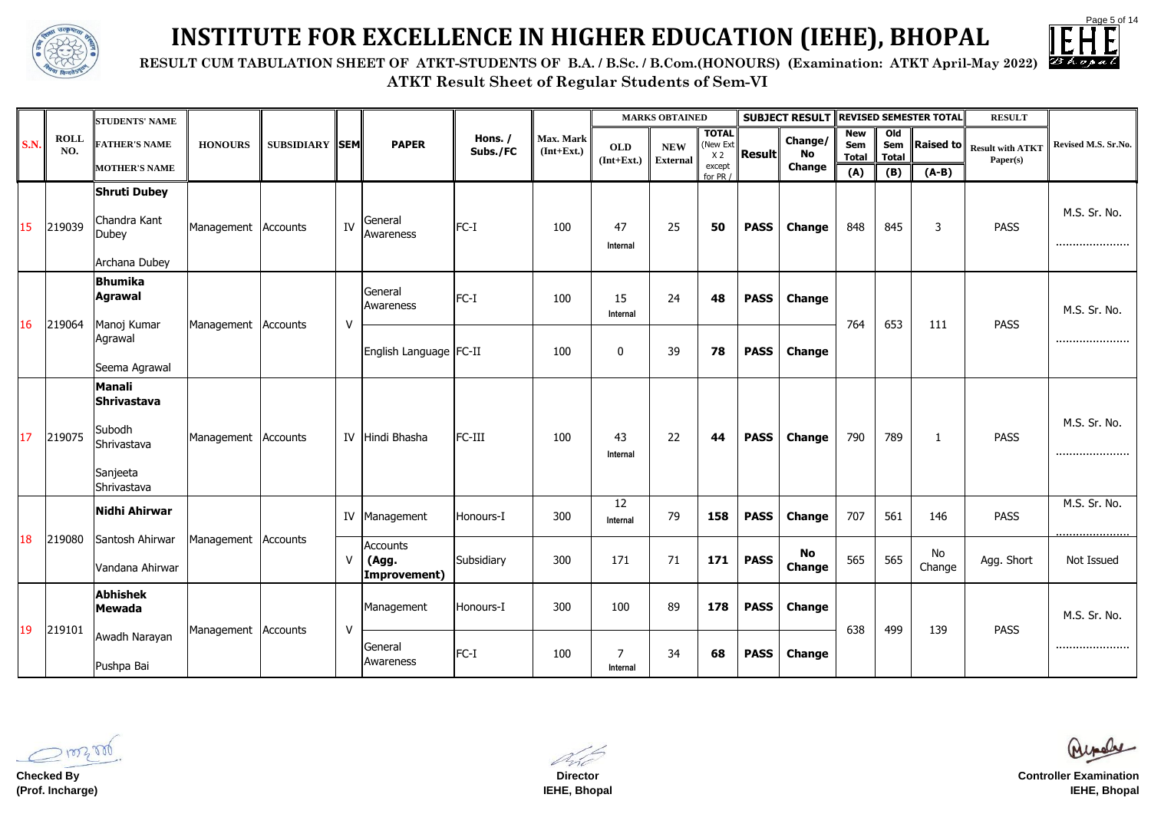

 **RESULT CUM TABULATION SHEET OF ATKT-STUDENTS OF B.A. / B.Sc. / B.Com.(HONOURS) (Examination: ATKT April-May 2022)**



## **INSTITUTE FOR EXCELLENCE IN HIGHER EDUCATION (IEHE), BHOPAL**

|             |                    | <b>STUDENTS' NAME</b>                                                            |                     |                       |        |                                   |                     |                           |                            | <b>MARKS OBTAINED</b>         |                                            |               | <b>SUBJECT RESULT</b> |                                   |                                        | <b>REVISED SEMESTER TOTAL</b> | <b>RESULT</b>                                 |                     |
|-------------|--------------------|----------------------------------------------------------------------------------|---------------------|-----------------------|--------|-----------------------------------|---------------------|---------------------------|----------------------------|-------------------------------|--------------------------------------------|---------------|-----------------------|-----------------------------------|----------------------------------------|-------------------------------|-----------------------------------------------|---------------------|
| <b>S.N.</b> | <b>ROLL</b><br>NO. | <b>FATHER'S NAME</b>                                                             | <b>HONOURS</b>      | <b>SUBSIDIARY SEM</b> |        | <b>PAPER</b>                      | Hons. /<br>Subs./FC | Max. Mark<br>$(Int+Ext.)$ | <b>OLD</b><br>$(Int+Ext.)$ | <b>NEW</b><br><b>External</b> | <b>TOTAL</b><br>(New Ext<br>X <sub>2</sub> | <b>Result</b> | Change/<br>No         | <b>New</b><br>Sem<br><b>Total</b> | O <sub>Id</sub><br>Sem<br><b>Total</b> |                               | <b>Raised to</b> Result with ATKT<br>Paper(s) | Revised M.S. Sr.No. |
|             |                    | <b>MOTHER'S NAME</b>                                                             |                     |                       |        |                                   |                     |                           |                            |                               | except<br>for PR /                         |               | <b>Change</b>         | (A)                               | (B)                                    | $(A-B)$                       |                                               |                     |
| 15          | 219039             | <b>Shruti Dubey</b><br>Chandra Kant<br><b>Dubey</b><br>Archana Dubey             | Management Accounts |                       | IV     | General<br>Awareness              | $FC-I$              | 100                       | 47<br>Internal             | 25                            | 50                                         | <b>PASS</b>   | <b>Change</b>         | 848                               | 845                                    | 3                             | <b>PASS</b>                                   | M.S. Sr. No.<br>    |
| 16          | 219064             | <b>Bhumika</b><br>Agrawal<br>Manoj Kumar                                         | Management Accounts |                       | $\vee$ | General<br>Awareness              | $FC-I$              | 100                       | 15<br>Internal             | 24                            | 48                                         | <b>PASS</b>   | <b>Change</b>         | 764                               | 653                                    | 111                           | <b>PASS</b>                                   | M.S. Sr. No.        |
|             |                    | Agrawal<br>Seema Agrawal                                                         |                     |                       |        | English Language   FC-II          |                     | 100                       | $\bf{0}$                   | 39                            | 78                                         | <b>PASS</b>   | <b>Change</b>         |                                   |                                        |                               |                                               |                     |
| 17          | 219075             | <b>Manali</b><br>Shrivastava<br>Subodh<br>Shrivastava<br>Sanjeeta<br>Shrivastava | Management          | Accounts              |        | IV Hindi Bhasha                   | FC-III              | 100                       | 43<br>Internal             | 22                            | 44                                         | <b>PASS</b>   | <b>Change</b>         | 790                               | 789                                    |                               | <b>PASS</b>                                   | M.S. Sr. No.<br>    |
|             |                    | Nidhi Ahirwar                                                                    |                     |                       |        | IV Management                     | Honours-I           | 300                       | 12<br>Internal             | 79                            | 158                                        | <b>PASS</b>   | <b>Change</b>         | 707                               | 561                                    | 146                           | <b>PASS</b>                                   | M.S. Sr. No.        |
|             |                    | 18 219080 Santosh Ahirwar Management Accounts<br>Vandana Ahirwar                 |                     |                       | $\vee$ | Accounts<br>(Agg.<br>Improvement) | Subsidiary          | 300                       | 171                        | 71                            | 171                                        | <b>PASS</b>   | No<br><b>Change</b>   | 565                               | 565                                    | No<br>Change                  | Agg. Short                                    | Not Issued          |
|             |                    | Abhishek<br><b>Mewada</b>                                                        |                     |                       |        | Management                        | Honours-I           | 300                       | 100                        | 89                            | 178                                        | <b>PASS</b>   | <b>Change</b>         |                                   |                                        |                               |                                               | M.S. Sr. No.        |
| 19          | 219101             | Awadh Narayan<br>Pushpa Bai                                                      | Management          | Accounts              | $\vee$ | General<br>Awareness              | $FC-I$              | 100                       | 7<br>Internal              | 34                            | 68                                         | <b>PASS</b>   | <b>Change</b>         | 638                               | 499                                    | 139                           | <b>PASS</b>                                   |                     |

**Checked By (Prof. Incharge)**

**Director IEHE, Bhopal**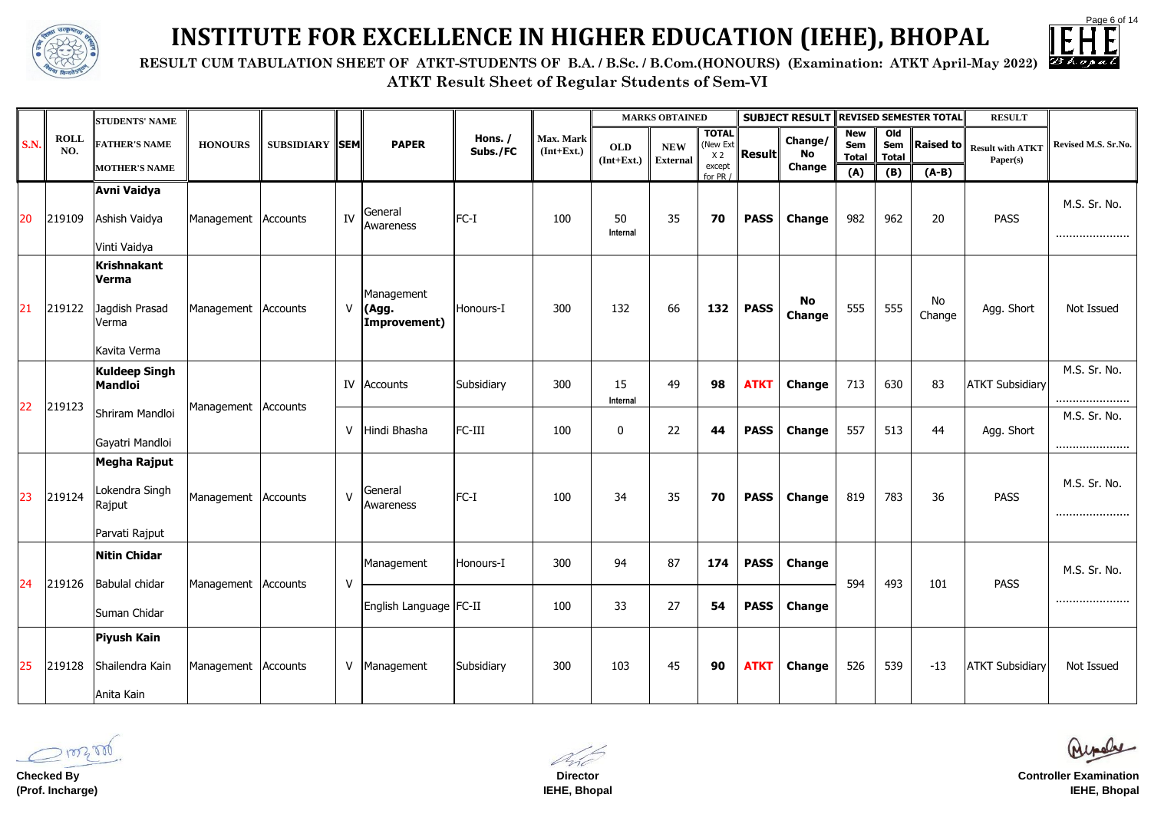Page 6 of 14

**ATKT Result Sheet of Regular Students of Sem-VI RESULT CUM TABULATION SHEET OF ATKT-STUDENTS OF B.A. / B.Sc. / B.Com.(HONOURS) (Examination: ATKT April-May 2022)**



# **INSTITUTE FOR EXCELLENCE IN HIGHER EDUCATION (IEHE), BHOPAL**

|             |                    | <b>STUDENTS' NAME</b>                                           |                     |                       |              |                                     |                     |                           |                            | <b>MARKS OBTAINED</b>         |                                            |               | <b>SUBJECT RESULT REVISED SEMESTER TOTAL</b> |                                   |                                              |                  | <b>RESULT</b>                       |                     |
|-------------|--------------------|-----------------------------------------------------------------|---------------------|-----------------------|--------------|-------------------------------------|---------------------|---------------------------|----------------------------|-------------------------------|--------------------------------------------|---------------|----------------------------------------------|-----------------------------------|----------------------------------------------|------------------|-------------------------------------|---------------------|
| <b>S.N.</b> | <b>ROLL</b><br>NO. | <b>FATHER'S NAME</b>                                            | <b>HONOURS</b>      | <b>SUBSIDIARY SEM</b> |              | <b>PAPER</b>                        | Hons. /<br>Subs./FC | Max. Mark<br>$(Int+Ext.)$ | <b>OLD</b><br>$(Int+Ext.)$ | <b>NEW</b><br><b>External</b> | <b>TOTAL</b><br>(New Ext<br>X <sub>2</sub> | <b>Result</b> | Change/<br>No                                | <b>New</b><br>Sem<br><b>Total</b> | O <sub>1</sub><br><b>Sem</b><br><b>Total</b> | <b>Raised to</b> | <b>Result with ATKT</b><br>Paper(s) | Revised M.S. Sr.No. |
|             |                    | <b>MOTHER'S NAME</b>                                            |                     |                       |              |                                     |                     |                           |                            |                               | except<br>for PR /                         |               | <b>Change</b>                                | (A)                               | (B)                                          | $(A-B)$          |                                     |                     |
| 20          | 219109             | <b>Avni Vaidya</b><br>Ashish Vaidya<br>Vinti Vaidya             | Management Accounts |                       | IV           | General<br>Awareness                | FC-I                | 100                       | 50<br>Internal             | 35                            | 70                                         | <b>PASS</b>   | <b>Change</b>                                | 982                               | 962                                          | 20               | <b>PASS</b>                         | M.S. Sr. No.<br>    |
| 21          | 219122             | Krishnakant<br>Verma<br>Jagdish Prasad<br>Verma<br>Kavita Verma | Management Accounts |                       | V            | Management<br>(Agg.<br>Improvement) | Honours-I           | 300                       | 132                        | 66                            | 132                                        | <b>PASS</b>   | <b>No</b><br><b>Change</b>                   | 555                               | 555                                          | No<br>Change     | Agg. Short                          | Not Issued          |
| 22          |                    | <b>Kuldeep Singh</b><br>Mandloi                                 |                     |                       | IV           | Accounts                            | Subsidiary          | 300                       | 15<br>Internal             | 49                            | 98                                         | <b>ATKT</b>   | <b>Change</b>                                | 713                               | 630                                          | 83               | <b>ATKT Subsidiary</b>              | M.S. Sr. No.<br>    |
|             | 219123             | Shriram Mandloi<br>Gayatri Mandloi                              | Management Accounts |                       | $\vee$       | Hindi Bhasha                        | FC-III              | 100                       | $\bf{0}$                   | 22                            | 44                                         | <b>PASS</b>   | <b>Change</b>                                | 557                               | 513                                          | 44               | Agg. Short                          | M.S. Sr. No.<br>    |
| 23          | 219124             | Megha Rajput<br>Lokendra Singh<br>Rajput<br>Parvati Rajput      | Management Accounts |                       | $\mathsf{V}$ | General<br>Awareness                | FC-I                | 100                       | 34                         | 35                            | 70                                         | <b>PASS</b>   | <b>Change</b>                                | 819                               | 783                                          | 36               | <b>PASS</b>                         | M.S. Sr. No.<br>    |
| 24          | 219126             | Nitin Chidar<br>Babulal chidar                                  | Management Accounts |                       | $\vee$       | Management                          | Honours-I           | 300                       | 94                         | 87                            | 174                                        | <b>PASS</b>   | <b>Change</b>                                | 594                               | 493                                          | 101              | <b>PASS</b>                         | M.S. Sr. No.        |
|             |                    | Suman Chidar                                                    |                     |                       |              | English Language   FC-II            |                     | 100                       | 33                         | 27                            | 54                                         | <b>PASS</b>   | <b>Change</b>                                |                                   |                                              |                  |                                     |                     |
| 25          | 219128             | <b>Piyush Kain</b><br>Shailendra Kain<br>Anita Kain             | Management Accounts |                       | V            | Management                          | Subsidiary          | 300                       | 103                        | 45                            | 90                                         | <b>ATKT</b>   | Change                                       | 526                               | 539                                          | $-13$            | <b>ATKT Subsidiary</b>              | Not Issued          |

**Checked By (Prof. Incharge)**

**Director IEHE, Bhopal**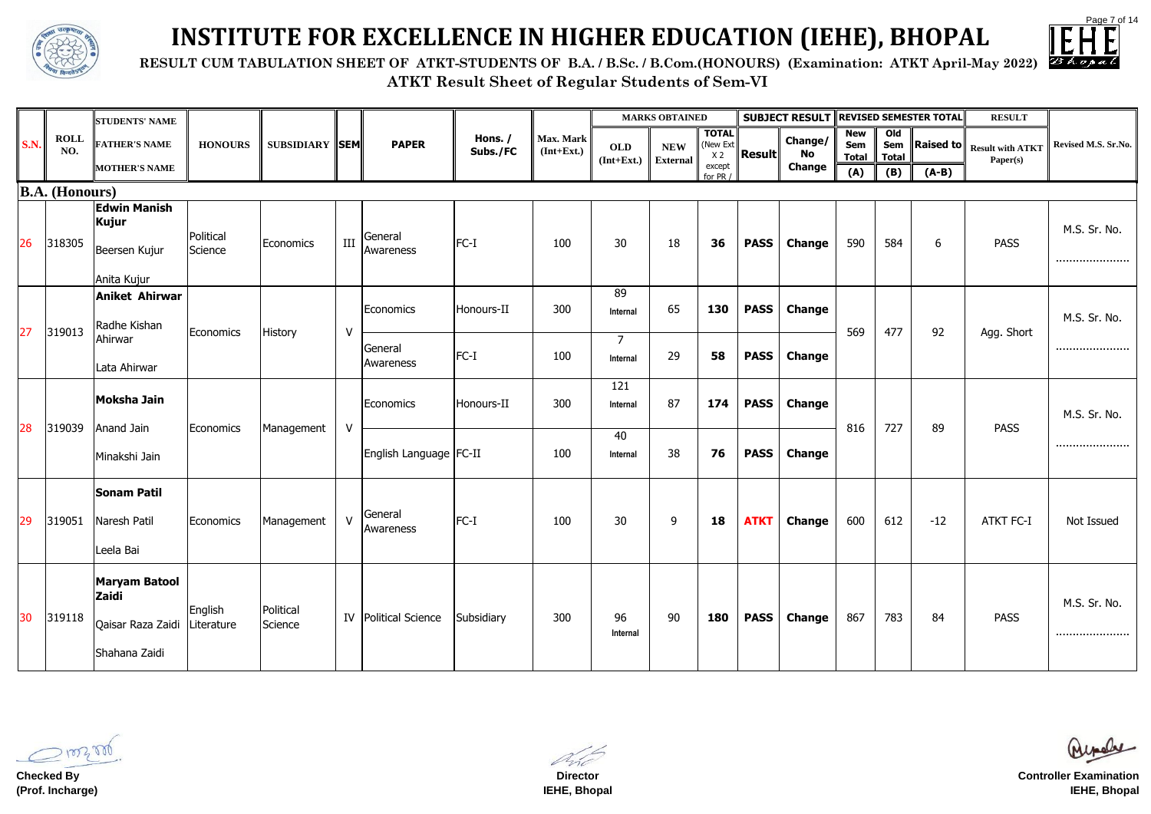**RESULT CUM TABULATION SHEET OF ATKT-STUDENTS OF B.A. / B.Sc. / B.Com.(HONOURS) (Examination: ATKT April-May 2022)**



# **INSTITUTE FOR EXCELLENCE IN HIGHER EDUCATION (IEHE), BHOPAL**

|             |                    | <b>STUDENTS' NAME</b>                                                                 |                      |                       |              |                             |                     |                           |                            | <b>MARKS OBTAINED</b>         |                          |                  | <b>SUBJECT RESULT</b> |                                   |                                        | <b>REVISED SEMESTER TOTAL</b> | <b>RESULT</b>    |                                                        |
|-------------|--------------------|---------------------------------------------------------------------------------------|----------------------|-----------------------|--------------|-----------------------------|---------------------|---------------------------|----------------------------|-------------------------------|--------------------------|------------------|-----------------------|-----------------------------------|----------------------------------------|-------------------------------|------------------|--------------------------------------------------------|
| <b>S.N.</b> | <b>ROLL</b><br>NO. | <b>FATHER'S NAME</b>                                                                  | <b>HONOURS</b>       | <b>SUBSIDIARY SEM</b> |              | <b>PAPER</b>                | Hons. /<br>Subs./FC | Max. Mark<br>$(Int+Ext.)$ | <b>OLD</b><br>$(Int+Ext.)$ | <b>NEW</b><br><b>External</b> | <b>TOTAL</b><br>(New Ext | x2 <b>Result</b> | Change/<br>No         | <b>New</b><br>Sem<br><b>Total</b> | O <sub>Id</sub><br>Sem<br><b>Total</b> |                               | Paper(s)         | <b>Raised to</b> Result with ATKT Revised M.S. Sr. No. |
|             |                    | <b>MOTHER'S NAME</b>                                                                  |                      |                       |              |                             |                     |                           |                            |                               | except<br>for PR $/$     |                  | <b>Change</b>         | (A)                               | (B)                                    | $(A-B)$                       |                  |                                                        |
|             | $ B.A.$ (Honours)  |                                                                                       |                      |                       |              |                             |                     |                           |                            |                               |                          |                  |                       |                                   |                                        |                               |                  |                                                        |
| 26          | 318305             | <b>Edwin Manish</b><br><b>Kujur</b><br>Beersen Kujur<br>Anita Kujur                   | Political<br>Science | Economics             | $\rm III$    | General<br>Awareness        | FC-I                | 100                       | 30                         | 18                            | 36                       | <b>PASS</b>      | <b>Change</b>         | 590                               | 584                                    | 6                             | <b>PASS</b>      | M.S. Sr. No.<br>                                       |
|             |                    | <b>Aniket Ahirwar</b>                                                                 |                      |                       |              |                             |                     |                           | 89                         |                               |                          |                  |                       |                                   |                                        |                               |                  |                                                        |
| 27          | 319013             | Radhe Kishan                                                                          | Economics            | History               | ${\sf V}$    | Economics                   | Honours-II          | 300                       | Internal                   | 65                            | 130                      | <b>PASS</b>      | <b>Change</b>         | 569                               | 477                                    | 92                            | Agg. Short       | M.S. Sr. No.                                           |
|             |                    | Ahirwar<br>Lata Ahirwar                                                               |                      |                       |              | General<br>Awareness        | FC-I                | 100                       | $\overline{7}$<br>Internal | 29                            | 58                       | <b>PASS</b>      | <b>Change</b>         |                                   |                                        |                               |                  |                                                        |
|             |                    |                                                                                       |                      |                       |              |                             |                     |                           | 121                        |                               |                          |                  |                       |                                   |                                        |                               |                  |                                                        |
|             |                    | <b>Moksha Jain</b>                                                                    |                      |                       |              | Economics                   | Honours-II          | 300                       | Internal                   | 87                            | 174                      | <b>PASS</b>      | <b>Change</b>         |                                   |                                        |                               |                  | M.S. Sr. No.                                           |
| 28          | 319039             | Anand Jain                                                                            | Economics            | Management            | $\mathsf{V}$ |                             |                     |                           | 40                         |                               |                          |                  |                       | 816                               | 727                                    | 89                            | <b>PASS</b>      |                                                        |
|             |                    | Minakshi Jain                                                                         |                      |                       |              | English Language   FC-II    |                     | 100                       | Internal                   | 38                            | 76                       | <b>PASS</b>      | <b>Change</b>         |                                   |                                        |                               |                  |                                                        |
|             |                    | Sonam Patil                                                                           |                      |                       |              |                             |                     |                           |                            |                               |                          |                  |                       |                                   |                                        |                               |                  |                                                        |
| 29          | 319051             | Naresh Patil                                                                          | Economics            | Management            | $\mathsf{V}$ | General<br>Awareness        | FC-I                | 100                       | 30                         | 9                             | <b>18</b>                | <b>ATKT</b>      | <b>Change</b>         | 600                               | 612                                    | $-12$                         | <b>ATKT FC-I</b> | Not Issued                                             |
|             |                    | Leela Bai                                                                             |                      |                       |              |                             |                     |                           |                            |                               |                          |                  |                       |                                   |                                        |                               |                  |                                                        |
| 30          | 319118             | <b>Maryam Batool</b><br><b>Zaidi</b><br>Qaisar Raza Zaidi Literature<br>Shahana Zaidi | English              | Political<br>Science  |              | <b>IV</b> Political Science | Subsidiary          | 300                       | 96<br>Internal             | 90                            | <b>180</b>               | <b>PASS</b>      | Change                | 867                               | 783                                    | 84                            | <b>PASS</b>      | M.S. Sr. No.<br>                                       |

100200

**Checked By (Prof. Incharge)**

Page 7 of 14  $\mathbb Z$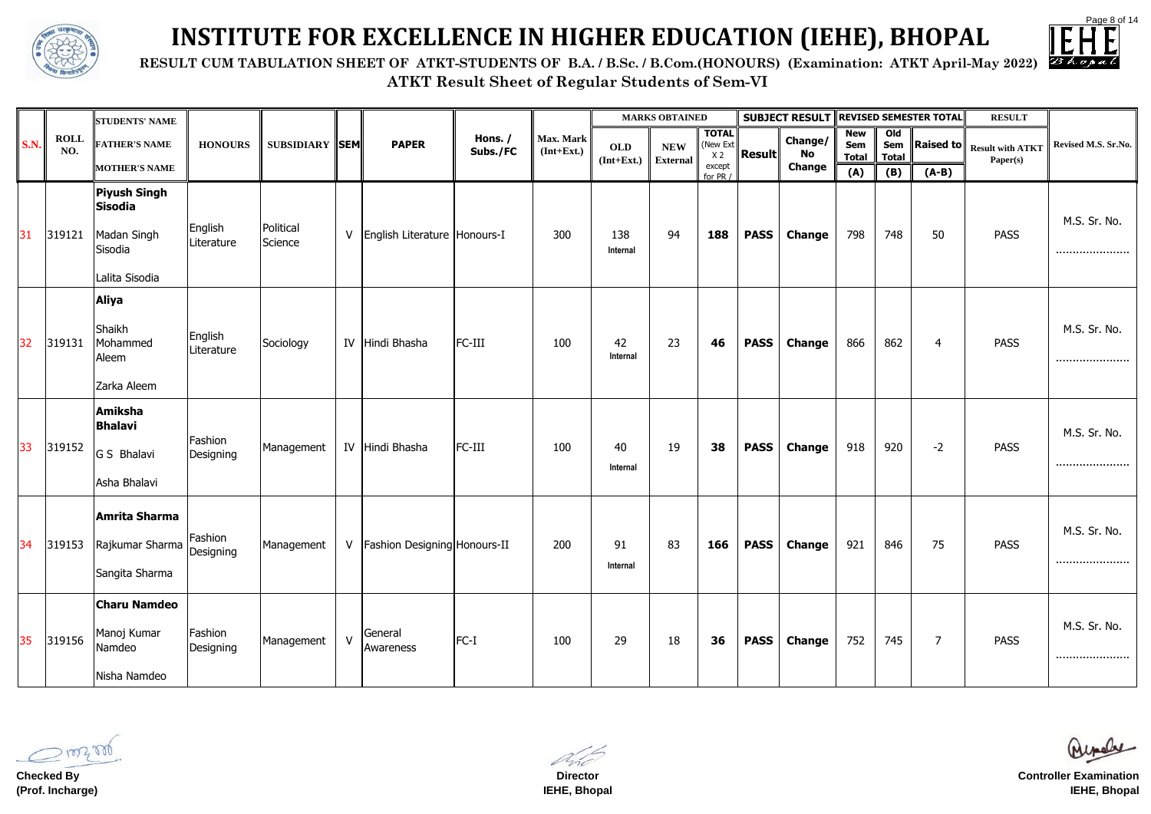Page 8 of 14

|  | n: ATKT April-May 2022) |  |
|--|-------------------------|--|
|  |                         |  |

**ATKT Result Sheet of Regular Students of Sem-VI RESULT CUM TABULATION SHEET OF ATKT-STUDENTS OF B.A. / B.Sc. / B.Com.(HONOURS)** (Examination



## **INSTITUTE FOR EXCELLENCE IN HIGHER EDUCATION (IEHE), BHOPAL**

|             |                    | <b>STUDENTS' NAME</b>                                                           |                       |                       |              |                                    |                     |                           |                                                | <b>MARKS OBTAINED</b> |                                            |                  | <b>SUBJECT RESULT REVISED SEMESTER TOTAL</b> |                                   |                                       |                | <b>RESULT</b>                       |                     |
|-------------|--------------------|---------------------------------------------------------------------------------|-----------------------|-----------------------|--------------|------------------------------------|---------------------|---------------------------|------------------------------------------------|-----------------------|--------------------------------------------|------------------|----------------------------------------------|-----------------------------------|---------------------------------------|----------------|-------------------------------------|---------------------|
| <b>S.N.</b> | <b>ROLL</b><br>NO. | <b>FATHER'S NAME</b>                                                            | <b>HONOURS</b>        | <b>SUBSIDIARY SEM</b> |              | <b>PAPER</b>                       | Hons. /<br>Subs./FC | Max. Mark<br>$(Int+Ext.)$ | <b>OLD</b><br>$[Int+Ext.]\n\parallel External$ | <b>NEW</b>            | <b>TOTAL</b><br>(New Ext<br>X <sub>2</sub> | $\ $ Result $\ $ | Change/<br>No                                | <b>New</b><br>Sem<br><b>Total</b> | O <sub>0</sub><br>Sem<br><b>Total</b> | Raised to      | <b>Result with ATKT</b><br>Paper(s) | Revised M.S. Sr.No. |
|             |                    | <b>MOTHER'S NAME</b>                                                            |                       |                       |              |                                    |                     |                           |                                                |                       | except<br>for PR /                         |                  | <b>Change</b>                                | (A)                               | (B)                                   | $(A-B)$        |                                     |                     |
| 31          | 319121             | Piyush Singh<br><b>Sisodia</b><br>Madan Singh<br>Sisodia<br>Lalita Sisodia      | English<br>Literature | Political<br>Science  | V            | English Literature Honours-I       |                     | 300                       | 138<br>Internal                                | 94                    | 188                                        | <b>PASS</b>      | <b>Change</b>                                | 798                               | 748                                   | 50             | <b>PASS</b>                         | M.S. Sr. No.<br>    |
| 32          | 319131             | <b>Aliya</b><br>Shaikh<br>Mohammed<br>Aleem<br>Zarka Aleem                      | English<br>Literature | Sociology             |              | IV Hindi Bhasha                    | FC-III              | 100                       | 42<br>Internal                                 | 23                    | 46                                         | <b>PASS</b>      | <b>Change</b>                                | 866                               | 862                                   | $\overline{4}$ | <b>PASS</b>                         | M.S. Sr. No.<br>    |
| 33          | 319152             | Amiksha<br><b>Bhalavi</b><br>G S Bhalavi<br>Asha Bhalavi                        | Fashion<br>Designing  | Management            |              | IV Hindi Bhasha                    | FC-III              | 100                       | 40<br>Internal                                 | 19                    | 38                                         | <b>PASS</b>      | <b>Change</b>                                | 918                               | 920                                   | $-2$           | <b>PASS</b>                         | M.S. Sr. No.<br>    |
| 34          | 319153             | Amrita Sharma<br>Rajkumar Sharma   المسابقة   Rajkumar Sharma<br>Sangita Sharma | Fashion               | Management            |              | V   Fashion Designing   Honours-II |                     | 200                       | 91<br>Internal                                 | 83                    | 166                                        | <b>PASS</b>      | <b>Change</b>                                | 921                               | 846                                   | 75             | <b>PASS</b>                         | M.S. Sr. No.<br>    |
| 35          | 319156             | <b>Charu Namdeo</b><br>Manoj Kumar<br>Namdeo<br>Nisha Namdeo                    | Fashion<br>Designing  | Management            | $\mathsf{V}$ | General<br>Awareness               | $FC-I$              | 100                       | 29                                             | 18                    | 36                                         | <b>PASS</b>      | <b>Change</b>                                | 752                               | 745                                   | $\overline{7}$ | <b>PASS</b>                         | M.S. Sr. No.<br>    |

**Checked By (Prof. Incharge)**

**Director IEHE, Bhopal**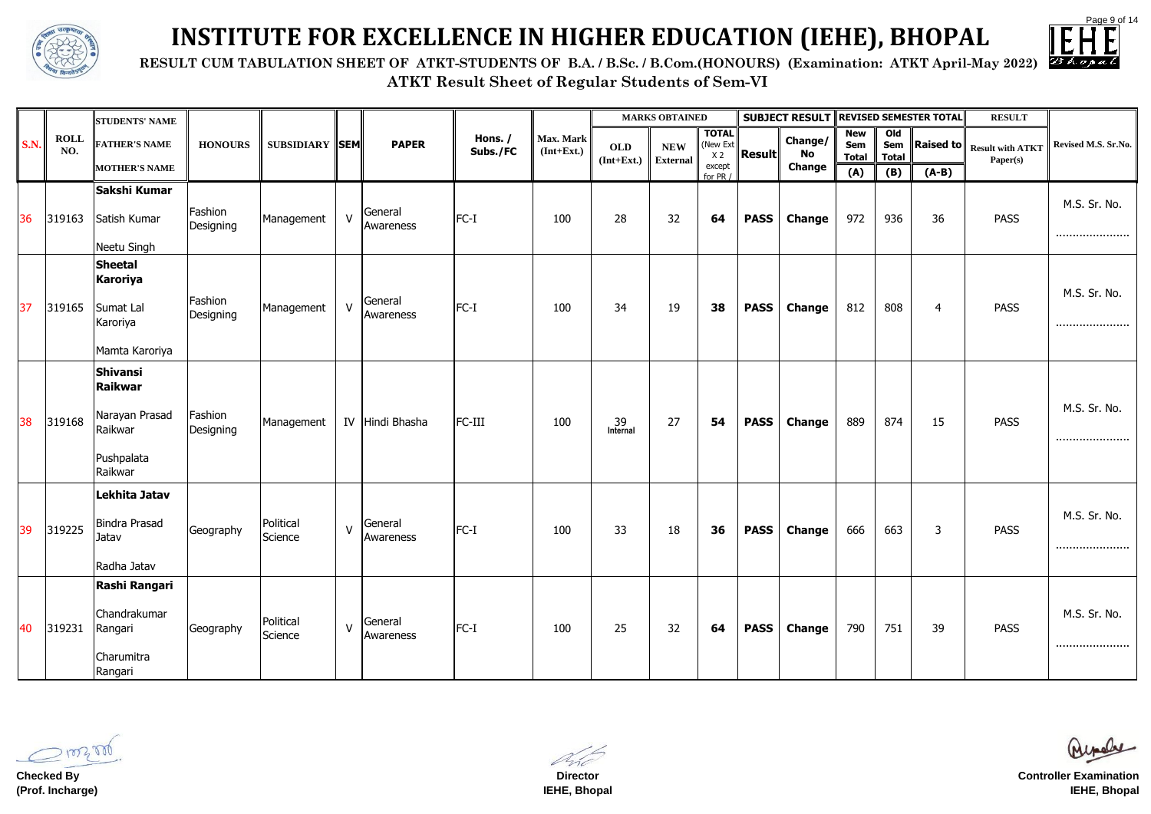

**ATKT Result Sheet of Regular Students of Sem-VI RESULT CUM TABULATION SHEET OF ATKT-STUDENTS OF B.A. / B.Sc. / B.Com.(HONOURS) (Examination: ATKT April-May 2022)**



# **INSTITUTE FOR EXCELLENCE IN HIGHER EDUCATION (IEHE), BHOPAL**

|             |                    | <b>STUDENTS' NAME</b>                                                     |                      |                       |              |                      |                     |                           |                            | <b>MARKS OBTAINED</b>         |                                            |               | <b>SUBJECT RESULT REVISED SEMESTER TOTAL</b> |                                   |                                       |                | <b>RESULT</b>                               |                     |
|-------------|--------------------|---------------------------------------------------------------------------|----------------------|-----------------------|--------------|----------------------|---------------------|---------------------------|----------------------------|-------------------------------|--------------------------------------------|---------------|----------------------------------------------|-----------------------------------|---------------------------------------|----------------|---------------------------------------------|---------------------|
| <b>S.N.</b> | <b>ROLL</b><br>NO. | <b>FATHER'S NAME</b>                                                      | <b>HONOURS</b>       | <b>SUBSIDIARY SEM</b> |              | <b>PAPER</b>         | Hons. /<br>Subs./FC | Max. Mark<br>$(Int+Ext.)$ | <b>OLD</b><br>$(Int+Ext.)$ | <b>NEW</b><br><b>External</b> | <b>TOTAL</b><br>(New Ext<br>X <sub>2</sub> | <b>Result</b> | <b>Change/</b><br>No                         | <b>New</b><br>Sem<br><b>Total</b> | O <sub>1</sub><br>Sem<br><b>Total</b> |                | Raised to $\ $ Result with ATKT<br>Paper(s) | Revised M.S. Sr.No. |
|             |                    | <b>MOTHER'S NAME</b>                                                      |                      |                       |              |                      |                     |                           |                            |                               | except<br>for PR $/$                       |               | <b>Change</b>                                | (A)                               | (B)                                   | $(A-B)$        |                                             |                     |
| 36          | 319163             | Sakshi Kumar<br>Satish Kumar                                              | Fashion<br>Designing | Management            | V            | General<br>Awareness | $FC-I$              | 100                       | 28                         | 32                            | 64                                         | <b>PASS</b>   | <b>Change</b>                                | 972                               | 936                                   | 36             | <b>PASS</b>                                 | M.S. Sr. No.<br>    |
|             |                    | Neetu Singh                                                               |                      |                       |              |                      |                     |                           |                            |                               |                                            |               |                                              |                                   |                                       |                |                                             |                     |
| 37          | 319165             | Sheetal<br><b>Karoriya</b><br>Sumat Lal<br>Karoriya<br>Mamta Karoriya     | Fashion<br>Designing | Management            | $\mathsf{V}$ | General<br>Awareness | $FC-I$              | 100                       | 34                         | 19                            | 38                                         | <b>PASS</b>   | <b>Change</b>                                | 812                               | 808                                   | $\overline{4}$ | <b>PASS</b>                                 | M.S. Sr. No.<br>    |
| 38          | 319168             | Shivansi<br>Raikwar<br>Narayan Prasad<br>Raikwar<br>Pushpalata<br>Raikwar | Fashion<br>Designing | Management            |              | IV Hindi Bhasha      | FC-III              | 100                       | 39<br>Internal             | 27                            | 54                                         | <b>PASS</b>   | <b>Change</b>                                | 889                               | 874                                   | 15             | <b>PASS</b>                                 | M.S. Sr. No.<br>    |
| 39          | 319225             | Lekhita Jatav<br><b>Bindra Prasad</b><br>Jatav<br>Radha Jatav             | Geography            | Political<br>Science  | V            | General<br>Awareness | $FC-I$              | 100                       | 33                         | 18                            | 36                                         | <b>PASS</b>   | <b>Change</b>                                | 666                               | 663                                   | 3              | <b>PASS</b>                                 | M.S. Sr. No.<br>    |
| 40          | 319231             | Rashi Rangari<br>Chandrakumar<br>Rangari<br>Charumitra<br>Rangari         | Geography            | Political<br>Science  | $\vee$       | General<br>Awareness | $FC-I$              | 100                       | 25                         | 32                            | 64                                         | <b>PASS</b>   | <b>Change</b>                                | 790                               | 751                                   | 39             | <b>PASS</b>                                 | M.S. Sr. No.<br>    |

**Checked By (Prof. Incharge)**

**Director IEHE, Bhopal**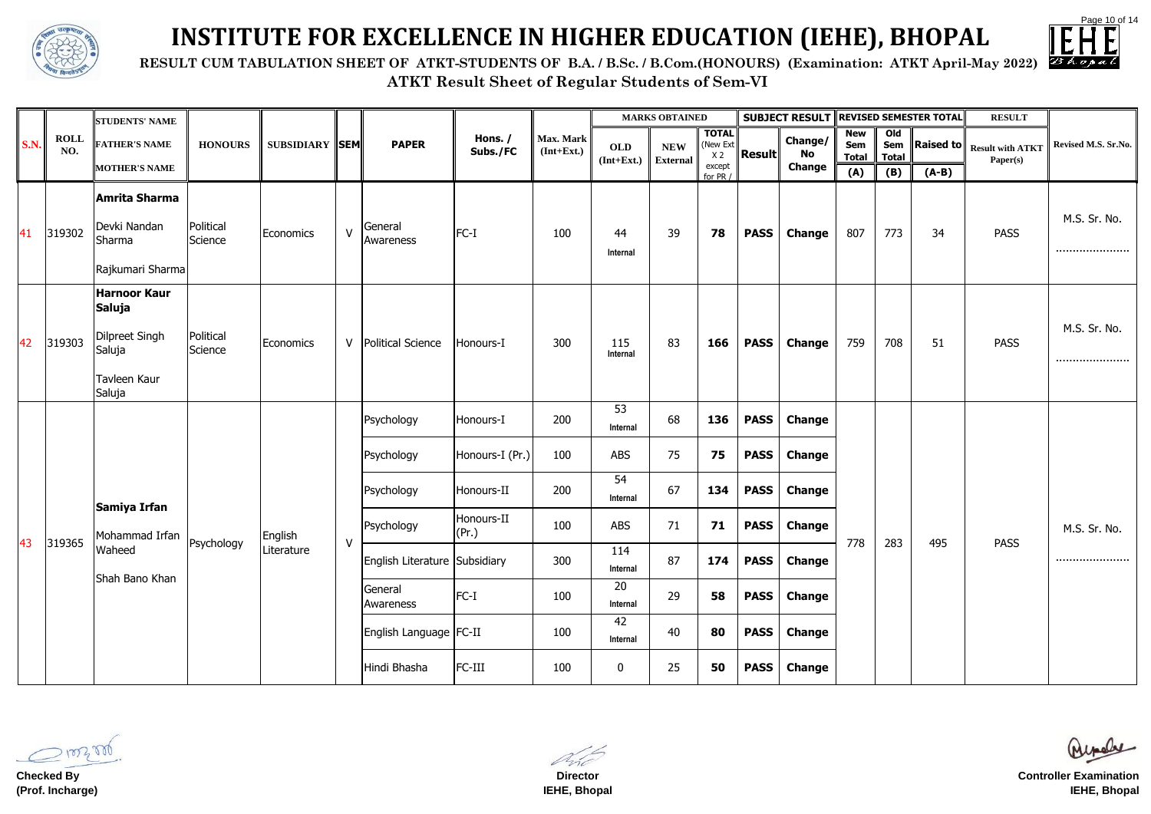

 **RESULT CUM TABULATION SHEET OF ATKT-STUDENTS OF B.A. / B.Sc. / B.Com.(HONOURS) (Examination: ATKT April-May 2022)**



# **INSTITUTE FOR EXCELLENCE IN HIGHER EDUCATION (IEHE), BHOPAL**

|             |                    | <b>STUDENTS' NAME</b>                                                                             |                      |                       |              |                               |                     |                           |                            | <b>MARKS OBTAINED</b>         |                                             |                  | <b>SUBJECT RESULT REVISED SEMESTER TOTAL</b> |                                   |                                       |                     | <b>RESULT</b>                       |                     |
|-------------|--------------------|---------------------------------------------------------------------------------------------------|----------------------|-----------------------|--------------|-------------------------------|---------------------|---------------------------|----------------------------|-------------------------------|---------------------------------------------|------------------|----------------------------------------------|-----------------------------------|---------------------------------------|---------------------|-------------------------------------|---------------------|
| <b>S.N.</b> | <b>ROLL</b><br>NO. | <b>FATHER'S NAME</b>                                                                              | <b>HONOURS</b>       | <b>SUBSIDIARY SEM</b> |              | <b>PAPER</b>                  | Hons. /<br>Subs./FC | Max. Mark<br>$(Int+Ext.)$ | <b>OLD</b><br>$(Int+Ext.)$ | <b>NEW</b><br><b>External</b> | <b>TOTAL</b><br>(New Ext)<br>X <sub>2</sub> | $\ $ Result $\ $ | Change/<br>No                                | <b>New</b><br>Sem<br><b>Total</b> | O <sub>1</sub><br>Sem<br><b>Total</b> | $\ $ Raised to $\ $ | <b>Result with ATKT</b><br>Paper(s) | Revised M.S. Sr.No. |
|             |                    | <b>MOTHER'S NAME</b>                                                                              |                      |                       |              |                               |                     |                           |                            |                               | except<br>for PR /                          |                  | <b>Change</b>                                | (A)                               | (B)                                   | $(A-B)$             |                                     |                     |
| 41          | 319302             | Amrita Sharma<br>Devki Nandan<br>Sharma<br>Rajkumari Sharma                                       | Political<br>Science | Economics             | $\mathsf{V}$ | General<br>Awareness          | FC-I                | 100                       | 44<br>Internal             | 39                            | 78                                          | <b>PASS</b>      | <b>Change</b>                                | 807                               | 773                                   | 34                  | <b>PASS</b>                         | M.S. Sr. No.<br>    |
| 42          | 319303             | <b>Harnoor Kaur</b><br><b>Saluja</b><br>Dilpreet Singh<br>Saluja<br><b>Tavleen Kaur</b><br>Saluja | Political<br>Science | <b>Economics</b>      | $\mathsf{V}$ | <b>Political Science</b>      | Honours-I           | 300                       | 115<br>Internal            | 83                            | 166                                         | <b>PASS</b>      | <b>Change</b>                                | 759                               | 708                                   | 51                  | <b>PASS</b>                         | M.S. Sr. No.<br>    |
|             |                    |                                                                                                   |                      |                       |              | Psychology                    | Honours-I           | 200                       | 53<br>Internal             | 68                            | 136                                         | <b>PASS</b>      | <b>Change</b>                                |                                   |                                       |                     |                                     |                     |
|             |                    |                                                                                                   |                      |                       |              | Psychology                    | Honours-I (Pr.)     | 100                       | <b>ABS</b>                 | 75                            | 75                                          | <b>PASS</b>      | <b>Change</b>                                |                                   |                                       |                     |                                     |                     |
|             |                    | Samiya Irfan                                                                                      |                      |                       |              | Psychology                    | Honours-II          | 200                       | 54<br>Internal             | 67                            | 134                                         | <b>PASS</b>      | <b>Change</b>                                |                                   |                                       |                     |                                     |                     |
|             |                    | $\begin{vmatrix} 43 & 319365 \end{vmatrix}$ Mohammad Irfan   Psychology                           |                      | English               | V            | Psychology                    | Honours-II<br>(Pr.) | 100                       | <b>ABS</b>                 | 71                            | 71                                          | <b>PASS</b>      | <b>Change</b>                                |                                   |                                       |                     |                                     | M.S. Sr. No.        |
|             |                    | Waheed                                                                                            |                      | Literature            |              | English Literature Subsidiary |                     | 300                       | 114<br>Internal            | 87                            | 174                                         |                  | <b>PASS</b>   Change                         | 778 283                           |                                       | 495                 | <b>PASS</b>                         |                     |
|             |                    | Shah Bano Khan                                                                                    |                      |                       |              | General<br>Awareness          | $FC-I$              | 100                       | 20<br>Internal             | 29                            | 58                                          | <b>PASS</b>      | <b>Change</b>                                |                                   |                                       |                     |                                     |                     |
|             |                    |                                                                                                   |                      |                       |              | English Language   FC-II      |                     | 100                       | 42<br>Internal             | 40                            | 80                                          | <b>PASS</b>      | <b>Change</b>                                |                                   |                                       |                     |                                     |                     |
|             |                    |                                                                                                   |                      |                       |              | Hindi Bhasha                  | FC-III              | 100                       | $\bf{0}$                   | 25                            | 50                                          | <b>PASS</b>      | <b>Change</b>                                |                                   |                                       |                     |                                     |                     |

100300

**Checked By (Prof. Incharge)**

**Director IEHE, Bhopal**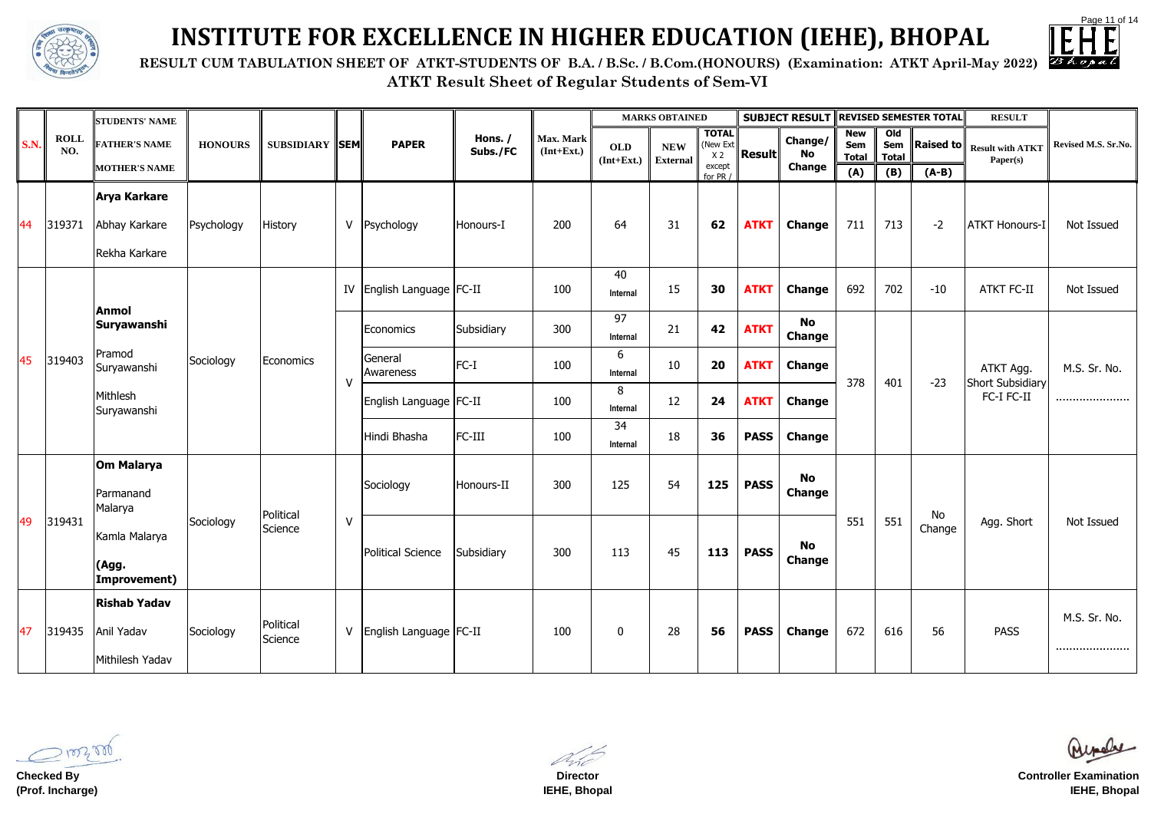Page 11 of 14

|  |  | on: ATKT April-May 2022) |  |  |
|--|--|--------------------------|--|--|
|--|--|--------------------------|--|--|

**ATKT Result Sheet of Regular Students of Sem-VI**



### **INSTITUTE FOR EXCELLENCE IN HIGHER EDUCATION (IEHE), BHOPAL**

**RESULT CUM TABULATION SHEET OF ATKT-STUDENTS OF B.A. / B.Sc. / B.Com.(HONOURS)** (Examination

|             |                    | <b>STUDENTS' NAME</b>                                 |                |                       |              |                              |                     |                           |                            | <b>MARKS OBTAINED</b> |                                                                                 |             | <b>SUBJECT RESULT</b>      |                                   |                                       | <b>REVISED SEMESTER TOTAL</b> | <b>RESULT</b>                                      |                     |
|-------------|--------------------|-------------------------------------------------------|----------------|-----------------------|--------------|------------------------------|---------------------|---------------------------|----------------------------|-----------------------|---------------------------------------------------------------------------------|-------------|----------------------------|-----------------------------------|---------------------------------------|-------------------------------|----------------------------------------------------|---------------------|
| <b>S.N.</b> | <b>ROLL</b><br>NO. | <b>FATHER'S NAME</b>                                  | <b>HONOURS</b> | <b>SUBSIDIARY SEM</b> |              | <b>PAPER</b>                 | Hons. /<br>Subs./FC | Max. Mark<br>$(Int+Ext.)$ | <b>OLD</b><br>$(Int+Ext.)$ | <b>NEW</b>            | <b>TOTAL</b><br>(New Ext)<br><b>Result</b><br>X <sub>2</sub><br><b>External</b> |             | Change/<br>No              | <b>New</b><br>Sem<br><b>Total</b> | O <sub>1</sub><br>Sem<br><b>Total</b> | $\ $ Raised to $\ $           | <b>Result with ATKT</b><br>Paper(s)                | Revised M.S. Sr.No. |
|             |                    | <b>MOTHER'S NAME</b>                                  |                |                       |              |                              |                     |                           |                            |                       | except<br>for PR /                                                              |             | <b>Change</b>              | (A)                               | (B)                                   | $(A-B)$                       |                                                    |                     |
| 44          | 319371             | <b>Arya Karkare</b><br>Abhay Karkare<br>Rekha Karkare | Psychology     | History               | $\mathsf{V}$ | Psychology                   | Honours-I           | 200                       | 64                         | 31                    | 62                                                                              | <b>ATKT</b> | <b>Change</b>              | 711                               | 713                                   | $-2$                          | <b>ATKT Honours-I</b>                              | Not Issued          |
|             |                    |                                                       | Sociology      |                       | IV           | English Language   FC-II     |                     | 100                       | 40<br>Internal             | 15                    | 30                                                                              | <b>ATKT</b> | <b>Change</b>              | 692                               | 702                                   | $-10$                         | <b>ATKT FC-II</b>                                  | Not Issued          |
|             |                    | <b>Anmol</b><br>Suryawanshi                           |                | Economics             |              | Economics                    | Subsidiary          | 300                       | 97<br>Internal             | 21                    | 42                                                                              | <b>ATKT</b> | <b>No</b><br><b>Change</b> |                                   |                                       |                               |                                                    |                     |
| 45          | 319403             | Pramod<br>Suryawanshi                                 |                |                       | V            | General<br>Awareness         | $FC-I$              | 100                       | 6<br>Internal              | 10                    | 20                                                                              | <b>ATKT</b> | <b>Change</b>              | 378                               | 401                                   | $-23$                         | ATKT Agg.<br><b>Short Subsidiary</b><br>FC-I FC-II | M.S. Sr. No.        |
|             |                    | Mithlesh<br>Suryawanshi                               |                |                       |              | English Language FC-II       |                     | 100                       | 8<br>Internal              | 12                    | 24                                                                              | <b>ATKT</b> | <b>Change</b>              |                                   |                                       |                               |                                                    |                     |
|             |                    |                                                       |                |                       |              | Hindi Bhasha                 | FC-III              | 100                       | 34<br>Internal             | 18                    | 36                                                                              | <b>PASS</b> | <b>Change</b>              |                                   |                                       |                               |                                                    |                     |
|             |                    | Om Malarya<br>Parmanand<br>Malarya                    |                | Political             |              | Sociology                    | Honours-II          | 300                       | 125                        | 54                    | 125                                                                             | <b>PASS</b> | No<br><b>Change</b>        |                                   |                                       | No                            | Agg. Short                                         |                     |
| 49          | 319431             | Kamla Malarya<br>(Agg.<br>Improvement)                | Sociology      | Science               | V            | <b>Political Science</b>     | Subsidiary          | 300                       | 113                        | 45                    | 113                                                                             | <b>PASS</b> | <b>No</b><br><b>Change</b> | 551                               | 551                                   | Change                        |                                                    | Not Issued          |
| 47          | 319435             | <b>Rishab Yadav</b><br>Anil Yadav<br>Mithilesh Yadav  | Sociology      | Political<br>Science  |              | V   English Language   FC-II |                     | 100                       | $\mathbf 0$                | 28                    | 56                                                                              | <b>PASS</b> | <b>Change</b>              | 672                               | 616                                   | 56                            | <b>PASS</b>                                        | M.S. Sr. No.<br>    |

1003000

**Checked By (Prof. Incharge)**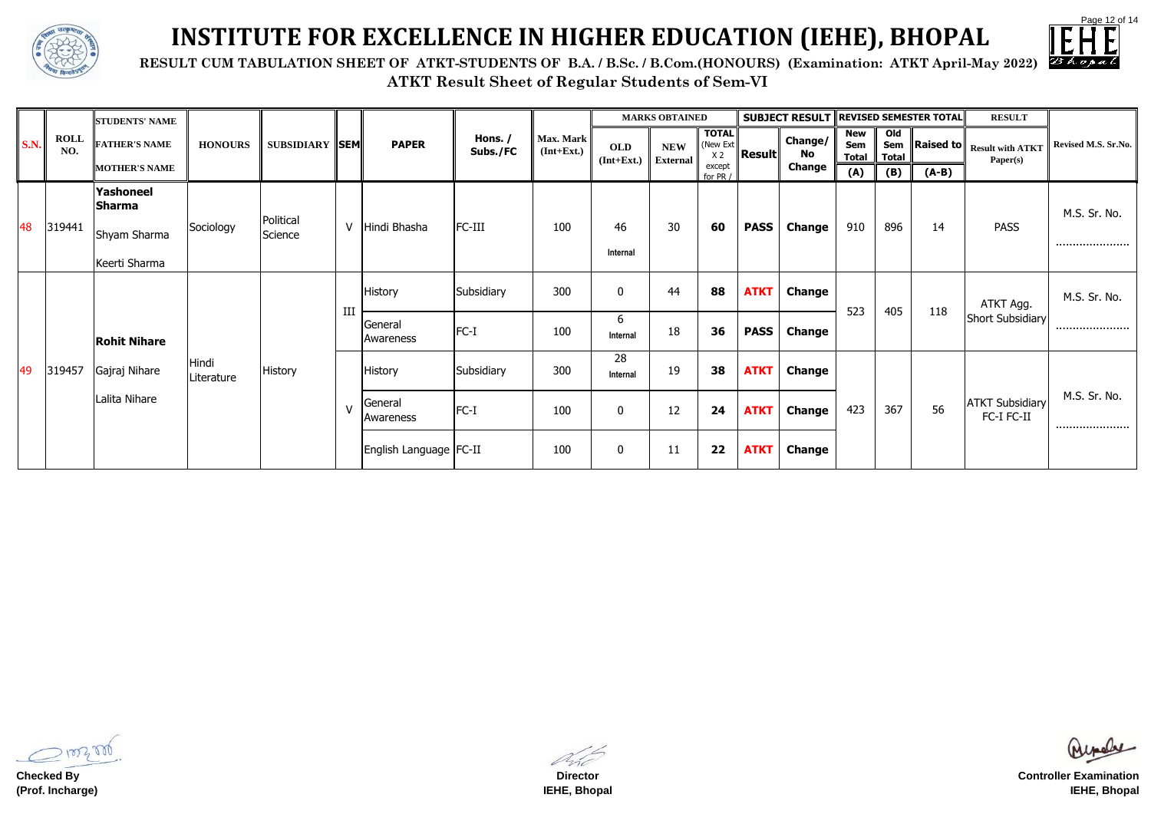

|  | n: ATKT April-May 2022) |  |
|--|-------------------------|--|
|--|-------------------------|--|



### **INSTITUTE FOR EXCELLENCE IN HIGHER EDUCATION (IEHE), BHOPAL**

**RESULT CUM TABULATION SHEET OF ATKT-STUDENTS OF B.A. / B.Sc. / B.Com.(HONOURS)** (Examination

|             | <b>ROLL</b><br>NO. | <b>STUDENTS' NAME</b> |                     |                       |        |                                     |                            | Max. Mark<br>$(Int+Ext.)$ |                               | <b>MARKS OBTAINED</b>                      |                    |               | <b>SUBJECT RESULT</b>             | <b>REVISED SEMESTER TOTAL</b>                |     |                                                  | <b>RESULT</b>                        |                  |
|-------------|--------------------|-----------------------|---------------------|-----------------------|--------|-------------------------------------|----------------------------|---------------------------|-------------------------------|--------------------------------------------|--------------------|---------------|-----------------------------------|----------------------------------------------|-----|--------------------------------------------------|--------------------------------------|------------------|
| <b>S.N.</b> |                    | <b>FATHER'S NAME</b>  | <b>HONOURS</b>      | <b>SUBSIDIARY SEM</b> |        | Hons. /<br><b>PAPER</b><br>Subs./FC | <b>OLD</b><br>$(Int+Ext.)$ |                           | <b>NEW</b><br><b>External</b> | <b>TOTAL</b><br>(New Ext<br>X <sub>2</sub> | $\ $ Result $\ $   | Change/<br>No | <b>New</b><br>Sem<br><b>Total</b> | O <sub>1</sub><br><b>Sem</b><br><b>Total</b> |     | $\ $ Raised to $\ $ Result with ATKT<br>Paper(s) | Revised M.S. Sr.No.                  |                  |
|             |                    | <b>MOTHER'S NAME</b>  |                     |                       |        |                                     |                            |                           |                               |                                            | except<br>for PR / |               | <b>Change</b>                     | (A)                                          | (B) | $(A-B)$                                          |                                      |                  |
| 48          |                    | Yashoneel<br>Sharma   |                     |                       | $\vee$ |                                     |                            |                           |                               |                                            |                    |               |                                   |                                              |     |                                                  | <b>PASS</b>                          | M.S. Sr. No.     |
|             | 319441             | Shyam Sharma          | Sociology           | Political<br>Science  |        | Hindi Bhasha                        | FC-III                     | 100                       | 46                            | 30                                         | 60                 | <b>PASS</b>   | <b>Change</b>                     | 910                                          | 896 | 14                                               |                                      |                  |
|             |                    | Keerti Sharma         |                     |                       |        |                                     |                            |                           | Internal                      |                                            |                    |               |                                   |                                              |     |                                                  |                                      |                  |
|             |                    | <b>Rohit Nihare</b>   |                     | <b>History</b>        | III    | <b>History</b>                      | Subsidiary                 | 300                       | $\mathbf 0$                   | 44                                         | 88                 | <b>ATKT</b>   | <b>Change</b>                     |                                              | 405 | 118                                              | ATKT Agg.<br><b>Short Subsidiary</b> | M.S. Sr. No.     |
|             |                    |                       |                     |                       |        | General<br>Awareness                | $FC-I$                     | 100                       | 6<br>Internal                 | 18                                         | 36                 | <b>PASS</b>   | <b>Change</b>                     | 523                                          |     |                                                  |                                      |                  |
| 49          | 319457             | Gajraj Nihare         | Hindi<br>Literature |                       |        | <b>History</b>                      | Subsidiary                 | 300                       | 28<br>Internal                | 19                                         | 38                 | <b>ATKT</b>   | <b>Change</b>                     |                                              |     |                                                  | <b>ATKT Subsidiary</b><br>FC-I FC-II |                  |
|             |                    | Lalita Nihare         |                     |                       | $\vee$ | General<br>Awareness                | $FC-I$                     | 100                       | $\mathbf 0$                   | 12                                         | 24                 | <b>ATKT</b>   | <b>Change</b>                     | 423                                          | 367 | 56                                               |                                      | M.S. Sr. No.<br> |
|             |                    |                       |                     |                       |        | English Language   FC-II            |                            | 100                       | $\mathbf 0$                   | 11                                         | 22                 | <b>ATKT</b>   | <b>Change</b>                     |                                              |     |                                                  |                                      |                  |

**Checked By (Prof. Incharge)**

**Director IEHE, Bhopal**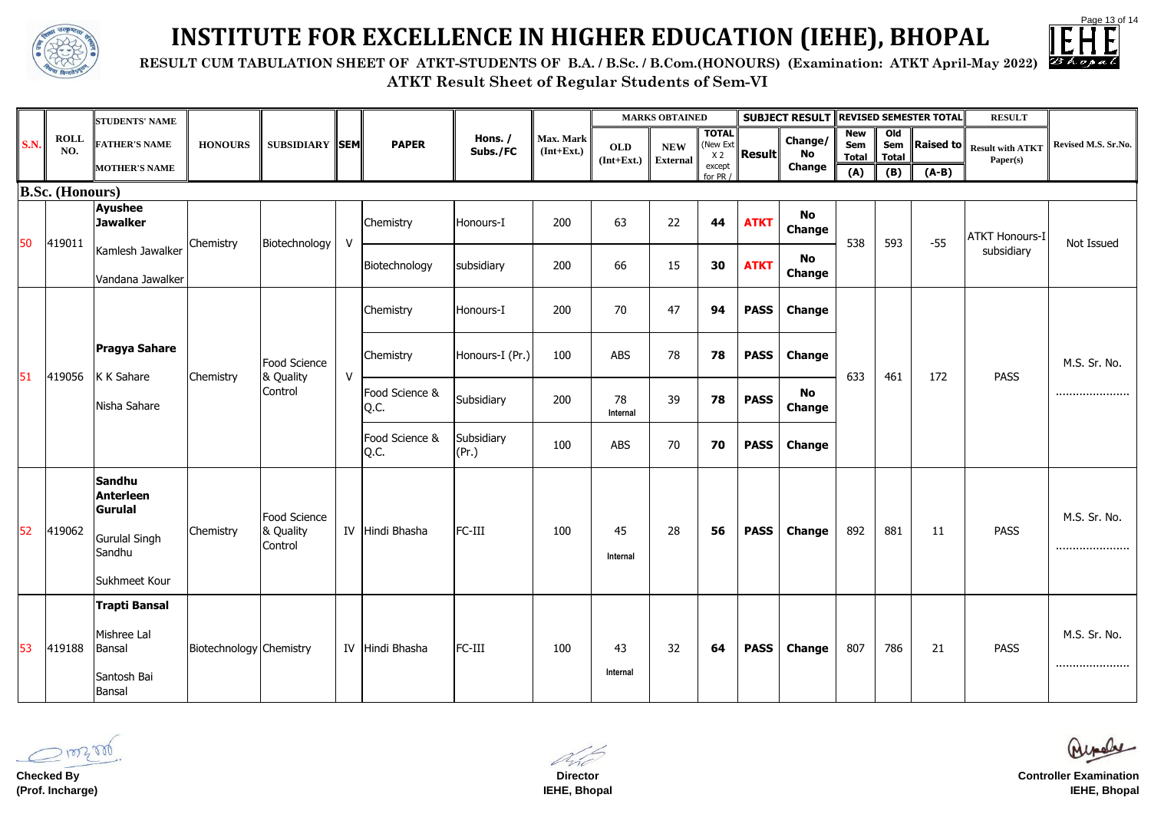Page 13 of 14

|  | n: ATKT April-May 2022) |  |
|--|-------------------------|--|
|  |                         |  |



**ATKT Result Sheet of Regular Students of Sem-VI**



# **INSTITUTE FOR EXCELLENCE IN HIGHER EDUCATION (IEHE), BHOPAL**

**RESULT CUM TABULATION SHEET OF ATKT-STUDENTS OF B.A. / B.Sc. / B.Com.(HONOURS)** (Examination

|             |                        | <b>STUDENTS' NAME</b>                                                             |                                |                                      |              |                        |                     |                           |                            | <b>MARKS OBTAINED</b>         |                                            |               | <b>SUBJECT RESULT REVISED SEMESTER TOTAL</b> |                                   |                                       |           | <b>RESULT</b>                       |                     |              |
|-------------|------------------------|-----------------------------------------------------------------------------------|--------------------------------|--------------------------------------|--------------|------------------------|---------------------|---------------------------|----------------------------|-------------------------------|--------------------------------------------|---------------|----------------------------------------------|-----------------------------------|---------------------------------------|-----------|-------------------------------------|---------------------|--------------|
| <b>S.N.</b> | <b>ROLL</b><br>NO.     | <b>FATHER'S NAME</b>                                                              | <b>HONOURS</b>                 | <b>SUBSIDIARY SEM</b>                |              | <b>PAPER</b>           | Hons. /<br>Subs./FC | Max. Mark<br>$(Int+Ext.)$ | <b>OLD</b><br>$(Int+Ext.)$ | <b>NEW</b><br><b>External</b> | <b>TOTAL</b><br>(New Ext<br>X <sub>2</sub> | <b>Result</b> | Change/<br>No                                | <b>New</b><br>Sem<br><b>Total</b> | O <sub>1</sub><br>Sem<br><b>Total</b> | Raised to | <b>Result with ATKT</b><br>Paper(s) | Revised M.S. Sr.No. |              |
|             |                        | <b>MOTHER'S NAME</b>                                                              |                                |                                      |              |                        |                     |                           |                            |                               | except<br>for PR                           |               | <b>Change</b>                                | (A)                               | (B)                                   | $(A-B)$   |                                     |                     |              |
|             | <b>B.Sc. (Honours)</b> |                                                                                   |                                |                                      |              |                        |                     |                           |                            |                               |                                            |               |                                              |                                   |                                       |           |                                     |                     |              |
|             | 419011                 | <b>Ayushee</b><br><b>Jawalker</b>                                                 |                                |                                      |              | Chemistry              | Honours-I           | 200                       | 63                         | 22                            | 44                                         | <b>ATKT</b>   | <b>No</b><br><b>Change</b>                   |                                   |                                       |           | <b>ATKT Honours-I</b>               |                     |              |
| 50          |                        | Kamlesh Jawalker<br>Vandana Jawalker                                              | Chemistry                      | Biotechnology                        | $\mathsf{V}$ | Biotechnology          | subsidiary          | 200                       | 66                         | 15                            | 30                                         | <b>ATKT</b>   | No<br><b>Change</b>                          | 538                               | 593                                   | $-55$     | subsidiary                          | Not Issued          |              |
| 51          |                        |                                                                                   |                                |                                      |              | Chemistry              | Honours-I           | 200                       | 70                         | 47                            | 94                                         | <b>PASS</b>   | <b>Change</b>                                |                                   |                                       |           |                                     |                     |              |
|             | 419056                 | <b>Pragya Sahare</b><br>K K Sahare                                                |                                | Food Science<br>& Quality<br>Control |              | $\mathsf{V}$           | Chemistry           | Honours-I (Pr.)           | 100                        | <b>ABS</b>                    | 78                                         | 78            | <b>PASS</b>                                  | <b>Change</b>                     | 633                                   | 461       | 172                                 | <b>PASS</b>         | M.S. Sr. No. |
|             |                        | Nisha Sahare                                                                      | <b>Chemistry</b>               |                                      |              | Food Science &<br>Q.C. | Subsidiary          | 200                       | 78<br>Internal             | 39                            | 78                                         | <b>PASS</b>   | <b>No</b><br><b>Change</b>                   |                                   |                                       |           |                                     |                     |              |
|             |                        |                                                                                   |                                |                                      |              | Food Science &<br>Q.C. | Subsidiary<br>(Pr.) | 100                       | <b>ABS</b>                 | 70                            | 70                                         | <b>PASS</b>   | <b>Change</b>                                |                                   |                                       |           |                                     |                     |              |
| 52          | 419062                 | Sandhu<br><b>Anterleen</b><br>Gurulal<br>Gurulal Singh<br>Sandhu<br>Sukhmeet Kour | Chemistry                      | Food Science<br>& Quality<br>Control |              | IV Hindi Bhasha        | FC-III              | 100                       | 45<br>Internal             | 28                            | 56                                         | <b>PASS</b>   | <b>Change</b>                                | 892                               | 881                                   | 11        | <b>PASS</b>                         | M.S. Sr. No.<br>    |              |
| 53          | 419188                 | Trapti Bansal<br>Mishree Lal<br>Bansal<br>Santosh Bai<br>Bansal                   | <b>Biotechnology Chemistry</b> |                                      |              | IV Hindi Bhasha        | FC-III              | 100                       | 43<br>Internal             | 32                            | 64                                         | <b>PASS</b>   | <b>Change</b>                                | 807                               | 786                                   | 21        | <b>PASS</b>                         | M.S. Sr. No.<br>    |              |

100300

**Checked By (Prof. Incharge)**

**Director IEHE, Bhopal**